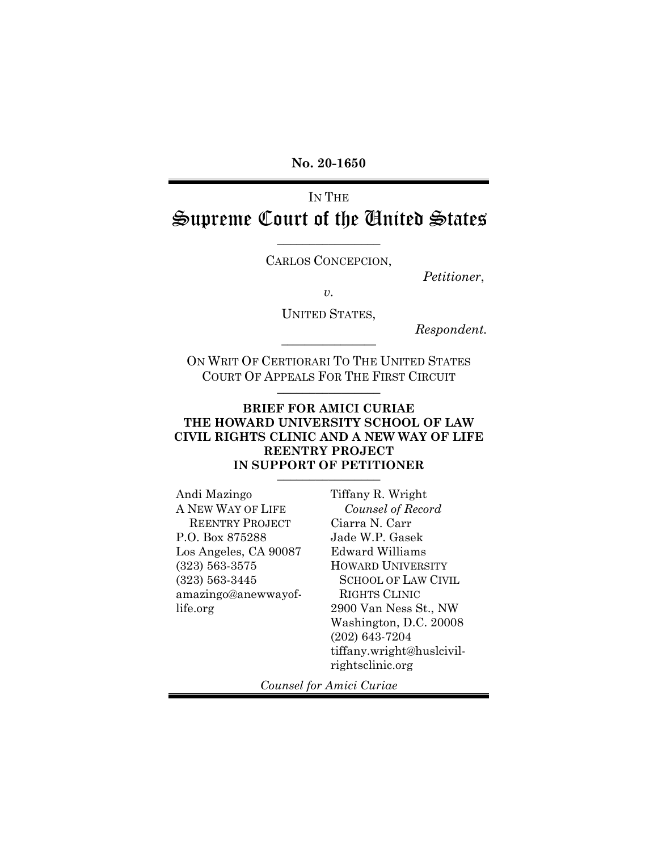**No. 20-1650**

# IN THE Supreme Court of the United States

CARLOS CONCEPCION,

 $\frac{1}{2}$  ,  $\frac{1}{2}$  ,  $\frac{1}{2}$  ,  $\frac{1}{2}$  ,  $\frac{1}{2}$  ,  $\frac{1}{2}$  ,  $\frac{1}{2}$  ,  $\frac{1}{2}$  ,  $\frac{1}{2}$  ,  $\frac{1}{2}$ 

*Petitioner*,

*v.*

UNITED STATES,

 $Respondent.$ 

ON WRIT OF CERTIORARI TO THE UNITED STATES COURT OF APPEALS FOR THE FIRST CIRCUIT  $\frac{1}{2}$  ,  $\frac{1}{2}$  ,  $\frac{1}{2}$  ,  $\frac{1}{2}$  ,  $\frac{1}{2}$  ,  $\frac{1}{2}$  ,  $\frac{1}{2}$  ,  $\frac{1}{2}$  ,  $\frac{1}{2}$  ,  $\frac{1}{2}$ 

### **BRIEF FOR AMICI CURIAE THE HOWARD UNIVERSITY SCHOOL OF LAW CIVIL RIGHTS CLINIC AND A NEW WAY OF LIFE REENTRY PROJECT**  IN SUPPORT OF PETITIONER

Andi Mazingo A NEW WAY OF LIFE REENTRY PROJECT P.O. Box 875288 Los Angeles, CA 90087 (323) 563-3575 (323) 563-3445 amazingo@anewwayoflife.org

Tiffany R. Wright *Counsel of Record* Ciarra N. Carr Jade W.P. Gasek Edward Williams HOWARD UNIVERSITY SCHOOL OF LAW CIVIL RIGHTS CLINIC 2900 Van Ness St., NW Washington, D.C. 20008 (202) 643-7204 tiffany.wright@huslcivilrightsclinic.org

*Counsel for Amici Curiae*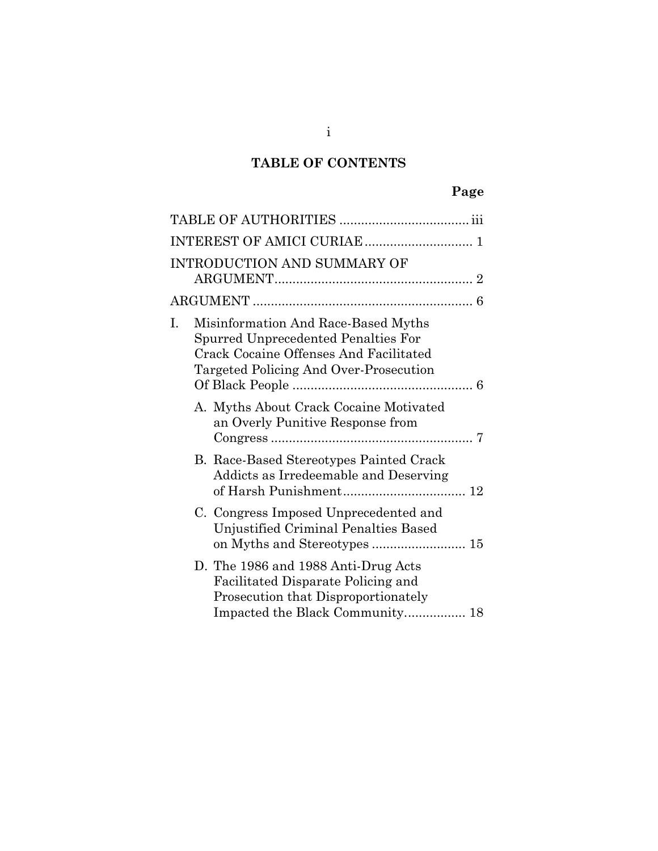# **TABLE OF CONTENTS**

|    | <b>INTRODUCTION AND SUMMARY OF</b>                                                                                                                                    |  |
|----|-----------------------------------------------------------------------------------------------------------------------------------------------------------------------|--|
|    |                                                                                                                                                                       |  |
| I. | Misinformation And Race-Based Myths<br>Spurred Unprecedented Penalties For<br><b>Crack Cocaine Offenses And Facilitated</b><br>Targeted Policing And Over-Prosecution |  |
|    | A. Myths About Crack Cocaine Motivated<br>an Overly Punitive Response from                                                                                            |  |
|    | B. Race-Based Stereotypes Painted Crack<br>Addicts as Irredeemable and Deserving                                                                                      |  |
|    | C. Congress Imposed Unprecedented and<br>Unjustified Criminal Penalties Based<br>on Myths and Stereotypes  15                                                         |  |
|    | D. The 1986 and 1988 Anti-Drug Acts<br>Facilitated Disparate Policing and<br>Prosecution that Disproportionately<br>Impacted the Black Community 18                   |  |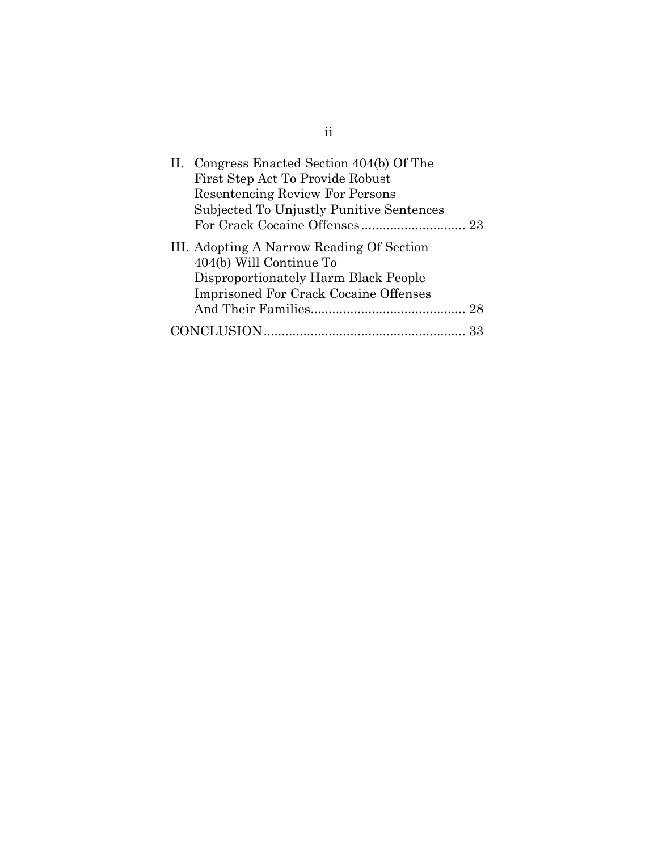| II. Congress Enacted Section 404(b) Of The<br>First Step Act To Provide Robust<br><b>Resentencing Review For Persons</b><br>Subjected To Unjustly Punitive Sentences |  |
|----------------------------------------------------------------------------------------------------------------------------------------------------------------------|--|
| III. Adopting A Narrow Reading Of Section<br>404(b) Will Continue To<br>Disproportionately Harm Black People<br><b>Imprisoned For Crack Cocaine Offenses</b>         |  |
|                                                                                                                                                                      |  |
|                                                                                                                                                                      |  |

ii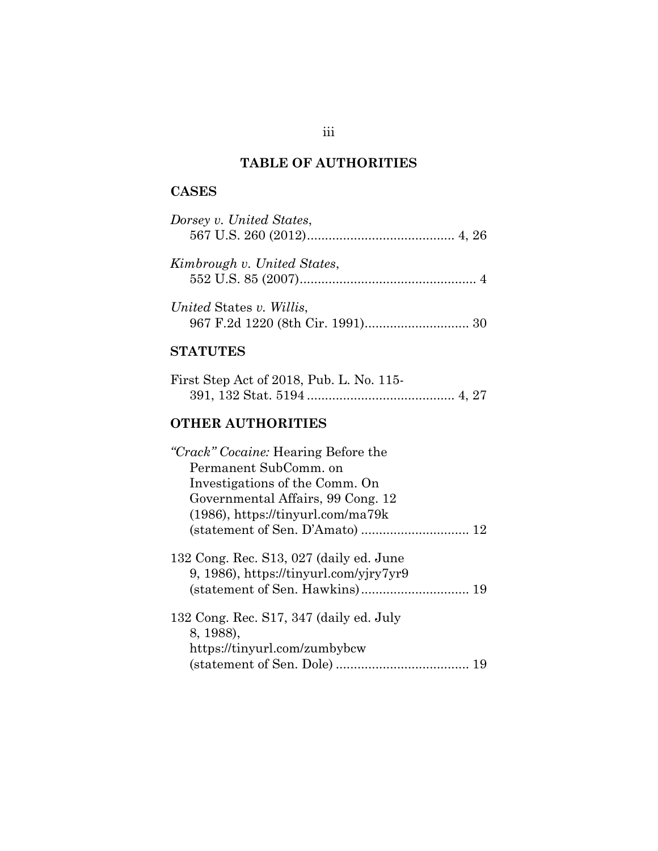# **TABLE OF AUTHORITIES**

# <span id="page-3-0"></span>**CASES**

| Dorsey v. United States,                                                                                                                                                                                              |
|-----------------------------------------------------------------------------------------------------------------------------------------------------------------------------------------------------------------------|
| Kimbrough v. United States,                                                                                                                                                                                           |
| United States v. Willis,                                                                                                                                                                                              |
| <b>STATUTES</b>                                                                                                                                                                                                       |
| First Step Act of 2018, Pub. L. No. 115-                                                                                                                                                                              |
| <b>OTHER AUTHORITIES</b>                                                                                                                                                                                              |
| <i>"Crack" Cocaine:</i> Hearing Before the<br>Permanent SubComm. on<br>Investigations of the Comm. On<br>Governmental Affairs, 99 Cong. 12<br>$(1986)$ , https://tinyurl.com/ma79k<br>(statement of Sen. D'Amato)  12 |
| 132 Cong. Rec. S13, 027 (daily ed. June<br>9, 1986), https://tinyurl.com/yjry7yr9                                                                                                                                     |
| 132 Cong. Rec. S17, 347 (daily ed. July<br>8, 1988),<br>https://tinyurl.com/zumbybcw                                                                                                                                  |

(statement of Sen. Dole) ..................................... 19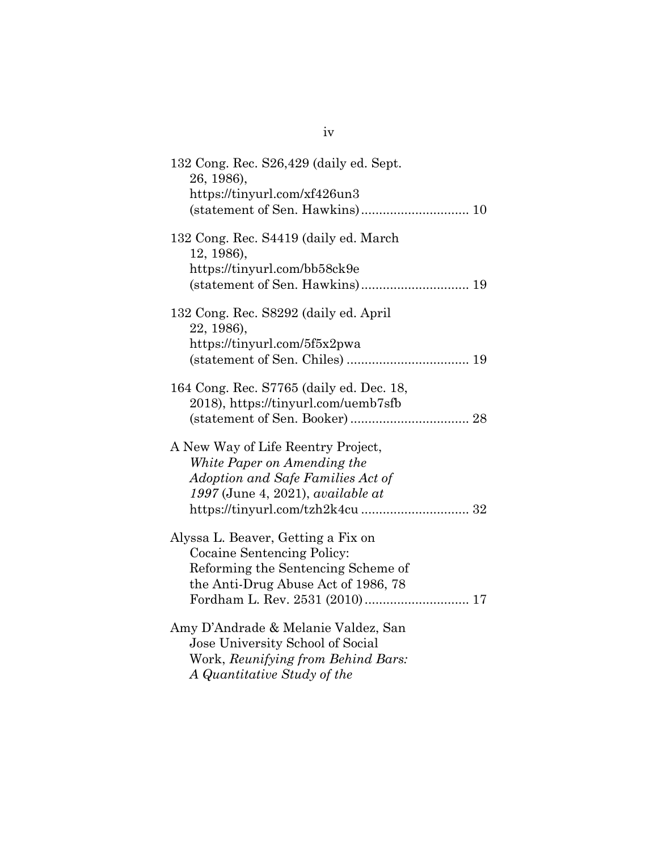| 132 Cong. Rec. S26,429 (daily ed. Sept.<br>26, 1986),<br>https://tinyurl.com/xf426un3<br>(statement of Sen. Hawkins) 10                       |
|-----------------------------------------------------------------------------------------------------------------------------------------------|
| 132 Cong. Rec. S4419 (daily ed. March<br>12, 1986),<br>https://tinyurl.com/bb58ck9e                                                           |
| 132 Cong. Rec. S8292 (daily ed. April<br>22, 1986),<br>https://tinyurl.com/5f5x2pwa                                                           |
| 164 Cong. Rec. S7765 (daily ed. Dec. 18,<br>2018), https://tinyurl.com/uemb7sfb                                                               |
| A New Way of Life Reentry Project,<br>White Paper on Amending the<br>Adoption and Safe Families Act of<br>1997 (June 4, 2021), available at   |
| Alyssa L. Beaver, Getting a Fix on<br>Cocaine Sentencing Policy:<br>Reforming the Sentencing Scheme of<br>the Anti-Drug Abuse Act of 1986, 78 |
| Amy D'Andrade & Melanie Valdez, San<br>Jose University School of Social<br>Work, Reunifying from Behind Bars:<br>A Quantitative Study of the  |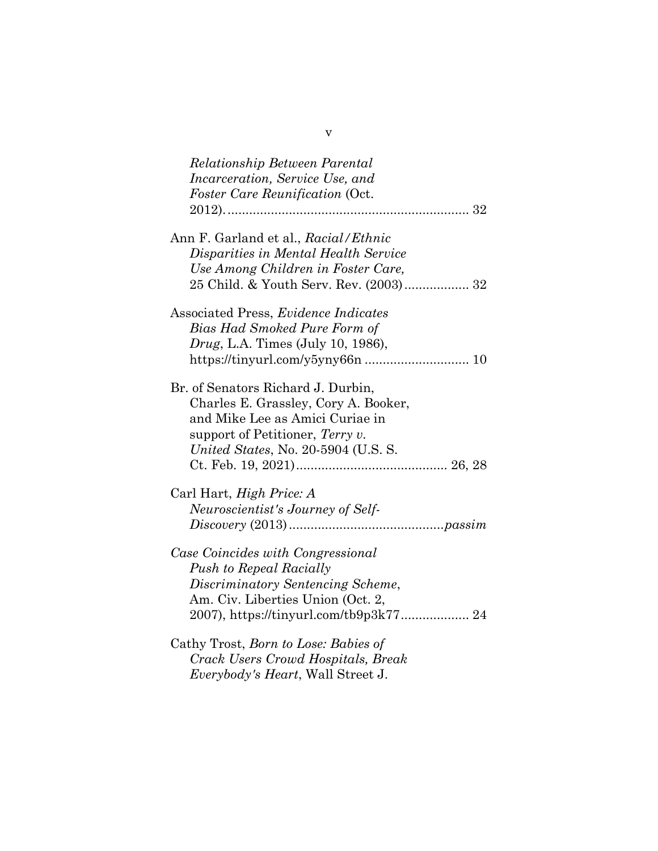| <b>Relationship Between Parental</b>        |
|---------------------------------------------|
| <i>Incarceration, Service Use, and</i>      |
| <i>Foster Care Reunification (Oct.</i>      |
|                                             |
| Ann F. Garland et al., Racial/Ethnic        |
| Disparities in Mental Health Service        |
| Use Among Children in Foster Care,          |
| 25 Child. & Youth Serv. Rev. (2003) 32      |
| Associated Press, <i>Evidence Indicates</i> |
| Bias Had Smoked Pure Form of                |
| <i>Drug</i> , L.A. Times (July 10, 1986),   |
|                                             |
| Br. of Senators Richard J. Durbin,          |
| Charles E. Grassley, Cory A. Booker,        |
| and Mike Lee as Amici Curiae in             |
| support of Petitioner, Terry $v$ .          |
| United States, No. 20-5904 (U.S. S.         |
|                                             |
| Carl Hart, High Price: A                    |
| Neuroscientist's Journey of Self-           |
|                                             |
| Case Coincides with Congressional           |
| <b>Push to Repeal Racially</b>              |
| Discriminatory Sentencing Scheme,           |
| Am. Civ. Liberties Union (Oct. 2,           |
| 2007), https://tinyurl.com/tb9p3k77 24      |
| Cathy Trost, Born to Lose: Babies of        |
| Crack Users Crowd Hospitals, Break          |
| Everybody's Heart, Wall Street J.           |

v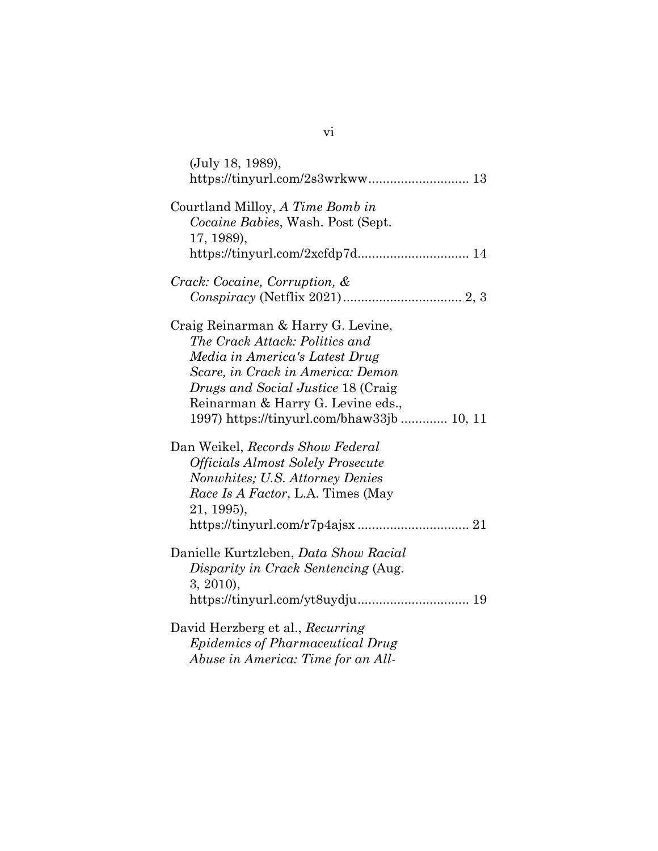| (July 18, 1989),                                |
|-------------------------------------------------|
|                                                 |
| Courtland Milloy, A Time Bomb in                |
| Cocaine Babies, Wash. Post (Sept.<br>17, 1989), |
|                                                 |
| Crack: Cocaine, Corruption, &                   |
|                                                 |
| Craig Reinarman & Harry G. Levine,              |
| The Crack Attack: Politics and                  |
| Media in America's Latest Drug                  |
| Scare, in Crack in America: Demon               |
| Drugs and Social Justice 18 (Craig              |
| Reinarman & Harry G. Levine eds.,               |
| 1997) https://tinyurl.com/bhaw33jb 10, 11       |
| Dan Weikel, Records Show Federal                |
| <b>Officials Almost Solely Prosecute</b>        |
| Nonwhites; U.S. Attorney Denies                 |
| Race Is A Factor, L.A. Times (May               |
| 21, 1995),                                      |
|                                                 |
| Danielle Kurtzleben, Data Show Racial           |
| Disparity in Crack Sentencing (Aug.             |
| $3, 2010$ ,                                     |
|                                                 |
| David Herzberg et al., Recurring                |
| <i>Epidemics of Pharmaceutical Drug</i>         |
| Abuse in America: Time for an All-              |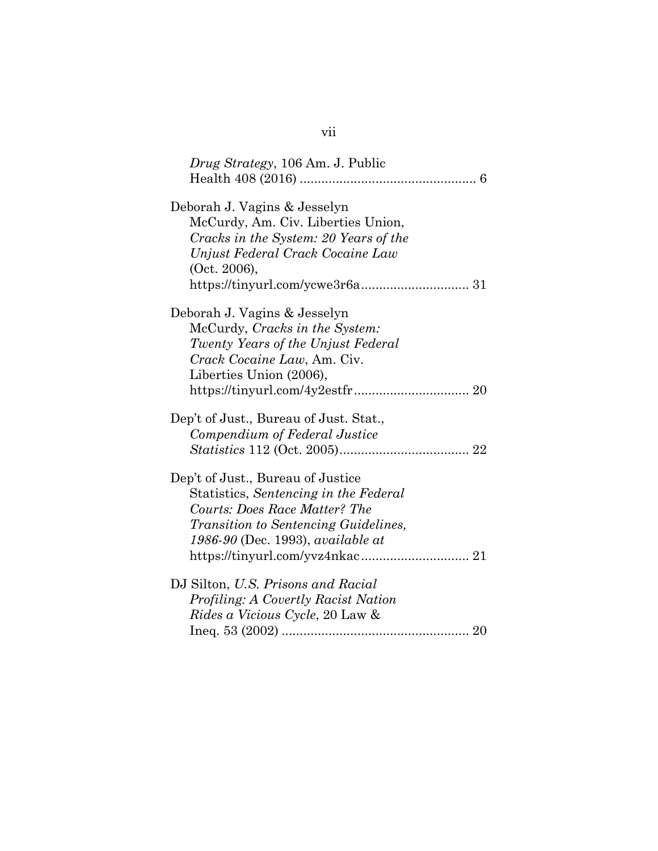| Drug Strategy, 106 Am. J. Public            |  |
|---------------------------------------------|--|
|                                             |  |
| Deborah J. Vagins & Jesselyn                |  |
| McCurdy, Am. Civ. Liberties Union,          |  |
| Cracks in the System: 20 Years of the       |  |
| Unjust Federal Crack Cocaine Law            |  |
| (Oct. 2006),                                |  |
|                                             |  |
| Deborah J. Vagins & Jesselyn                |  |
| McCurdy, Cracks in the System:              |  |
| Twenty Years of the Unjust Federal          |  |
| Crack Cocaine Law, Am. Civ.                 |  |
| Liberties Union (2006),                     |  |
|                                             |  |
| Dep't of Just., Bureau of Just. Stat.,      |  |
| Compendium of Federal Justice               |  |
|                                             |  |
| Dep't of Just., Bureau of Justice           |  |
| Statistics, Sentencing in the Federal       |  |
| Courts: Does Race Matter? The               |  |
| <i>Transition to Sentencing Guidelines,</i> |  |
| 1986-90 (Dec. 1993), available at           |  |
|                                             |  |
| DJ Silton, U.S. Prisons and Racial          |  |
| Profiling: A Covertly Racist Nation         |  |
| <i>Rides a Vicious Cycle, 20 Law &amp;</i>  |  |
|                                             |  |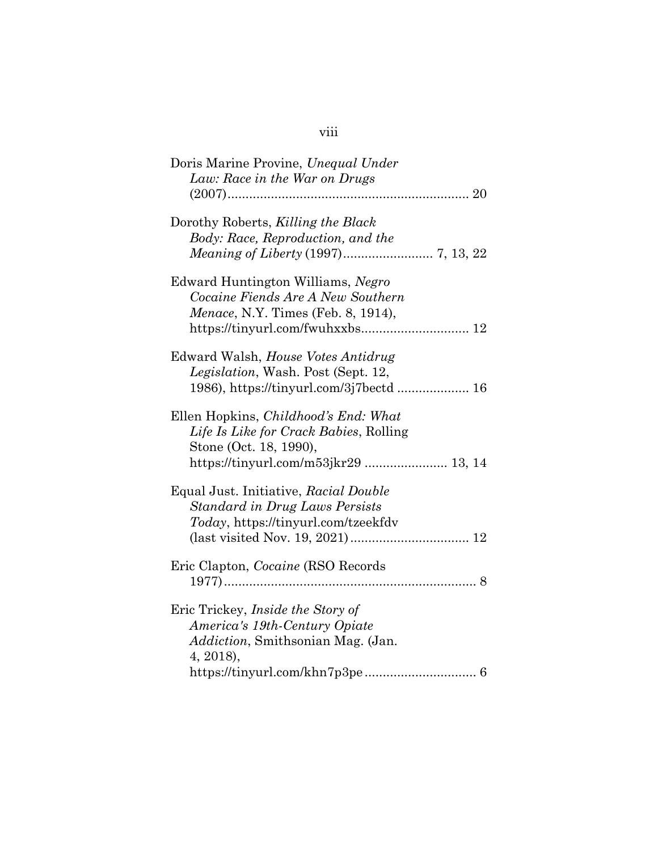# viii

| Doris Marine Provine, Unequal Under<br>Law: Race in the War on Drugs                                                                                    |
|---------------------------------------------------------------------------------------------------------------------------------------------------------|
| Dorothy Roberts, Killing the Black<br>Body: Race, Reproduction, and the                                                                                 |
| Edward Huntington Williams, Negro<br>Cocaine Fiends Are A New Southern<br>Menace, N.Y. Times (Feb. 8, 1914),                                            |
| Edward Walsh, House Votes Antidrug<br>Legislation, Wash. Post (Sept. 12,<br>1986), https://tinyurl.com/3j7bectd  16                                     |
| Ellen Hopkins, <i>Childhood's End: What</i><br>Life Is Like for Crack Babies, Rolling<br>Stone (Oct. 18, 1990),<br>https://tinyurl.com/m53jkr29  13, 14 |
| Equal Just. Initiative, Racial Double<br>Standard in Drug Laws Persists<br>Today, https://tinyurl.com/tzeekfdv                                          |
| Eric Clapton, <i>Cocaine</i> (RSO Records                                                                                                               |
| Eric Trickey, Inside the Story of<br>America's 19th-Century Opiate<br><i>Addiction</i> , Smithsonian Mag. (Jan.<br>4, 2018),                            |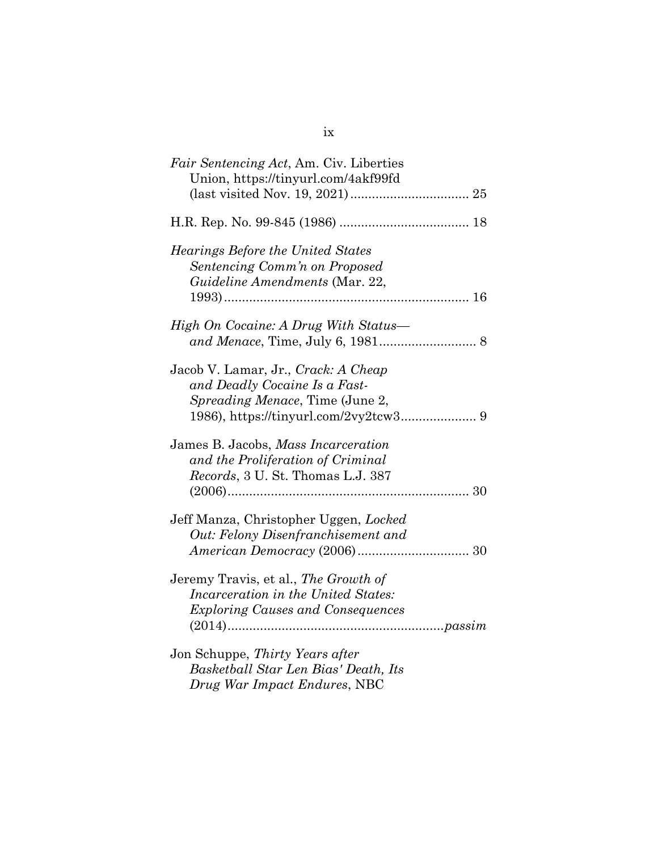| Fair Sentencing Act, Am. Civ. Liberties<br>Union, https://tinyurl.com/4akf99fd                                          |
|-------------------------------------------------------------------------------------------------------------------------|
|                                                                                                                         |
| <i>Hearings Before the United States</i><br>Sentencing Comm'n on Proposed<br>Guideline Amendments (Mar. 22,             |
| High On Cocaine: A Drug With Status—                                                                                    |
| Jacob V. Lamar, Jr., Crack: A Cheap<br>and Deadly Cocaine Is a Fast-<br><i>Spreading Menace</i> , Time (June 2,         |
| James B. Jacobs, Mass Incarceration<br>and the Proliferation of Criminal<br>Records, 3 U. St. Thomas L.J. 387           |
| Jeff Manza, Christopher Uggen, Locked<br>Out: Felony Disenfranchisement and                                             |
| Jeremy Travis, et al., The Growth of<br>Incarceration in the United States:<br><b>Exploring Causes and Consequences</b> |
| Jon Schuppe, Thirty Years after<br>Basketball Star Len Bias' Death, Its<br>Drug War Impact Endures, NBC                 |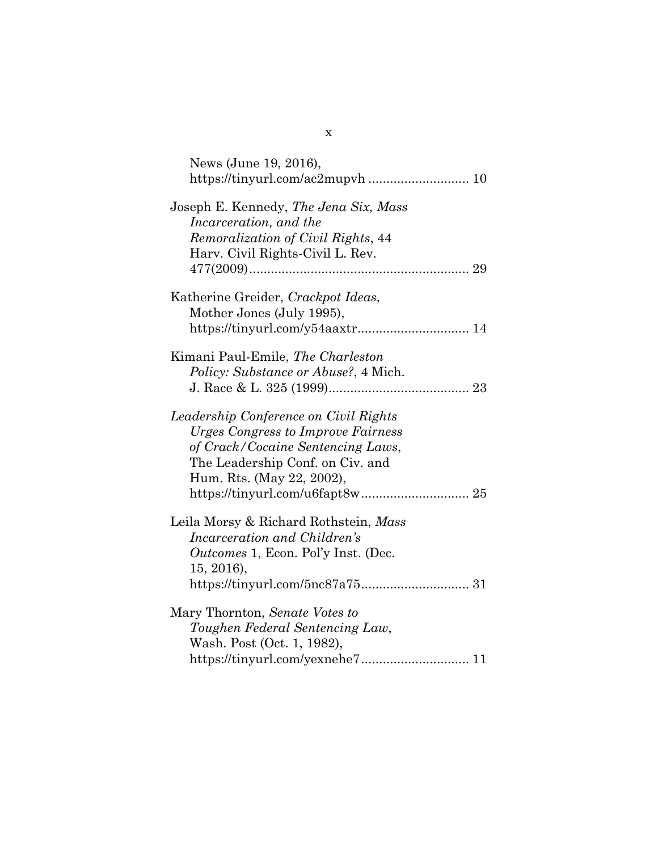| News (June 19, 2016),                     |  |
|-------------------------------------------|--|
|                                           |  |
| Joseph E. Kennedy, The Jena Six, Mass     |  |
| Incarceration, and the                    |  |
| Remoralization of Civil Rights, 44        |  |
| Harv. Civil Rights-Civil L. Rev.          |  |
|                                           |  |
| Katherine Greider, Crackpot Ideas,        |  |
| Mother Jones (July 1995),                 |  |
| https://tinyurl.com/y54aaxtr 14           |  |
| Kimani Paul-Emile, The Charleston         |  |
| Policy: Substance or Abuse?, 4 Mich.      |  |
|                                           |  |
| Leadership Conference on Civil Rights     |  |
| <b>Urges Congress to Improve Fairness</b> |  |
| of Crack/Cocaine Sentencing Laws,         |  |
| The Leadership Conf. on Civ. and          |  |
| Hum. Rts. (May 22, 2002),                 |  |
|                                           |  |
| Leila Morsy & Richard Rothstein, Mass     |  |
| Incarceration and Children's              |  |
| Outcomes 1, Econ. Pol'y Inst. (Dec.       |  |
| 15, 2016),                                |  |
|                                           |  |
| Mary Thornton, Senate Votes to            |  |
| Toughen Federal Sentencing Law,           |  |
| Wash. Post (Oct. 1, 1982),                |  |
| https://tinyurl.com/yexnehe7 11           |  |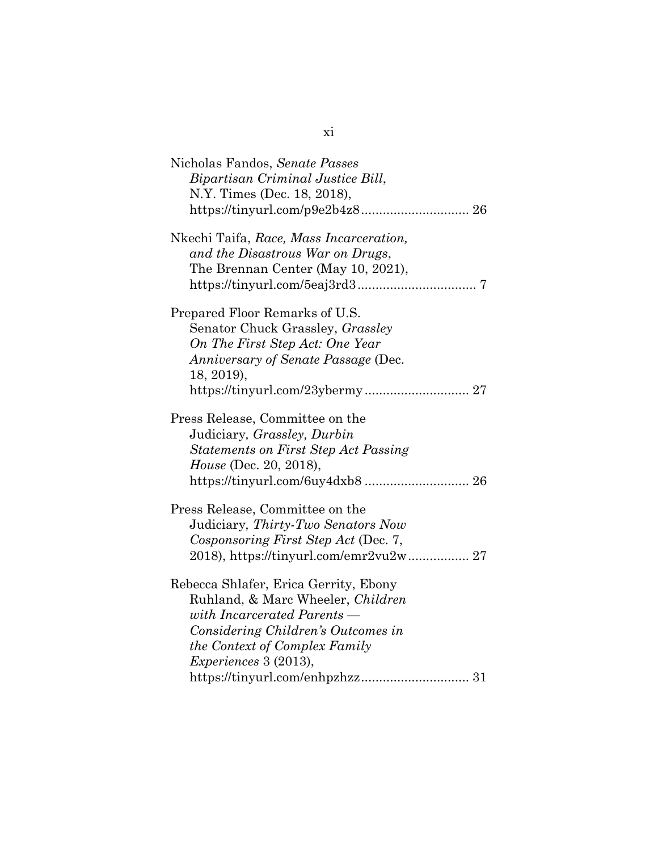| Nicholas Fandos, Senate Passes<br>Bipartisan Criminal Justice Bill,<br>N.Y. Times (Dec. 18, 2018),<br>https://tinyurl.com/p9e2b4z8 26                                                                            |
|------------------------------------------------------------------------------------------------------------------------------------------------------------------------------------------------------------------|
| Nkechi Taifa, Race, Mass Incarceration,<br>and the Disastrous War on Drugs,<br>The Brennan Center (May 10, 2021),                                                                                                |
| Prepared Floor Remarks of U.S.<br>Senator Chuck Grassley, Grassley<br>On The First Step Act: One Year<br>Anniversary of Senate Passage (Dec.<br>18, 2019),                                                       |
| Press Release, Committee on the<br>Judiciary, Grassley, Durbin<br><b>Statements on First Step Act Passing</b><br>House (Dec. 20, 2018),<br>https://tinyurl.com/6uy4dxb8 26                                       |
| Press Release, Committee on the<br>Judiciary, Thirty-Two Senators Now<br>Cosponsoring First Step Act (Dec. 7,                                                                                                    |
| Rebecca Shlafer, Erica Gerrity, Ebony<br>Ruhland, & Marc Wheeler, Children<br>with Incarcerated Parents —<br>Considering Children's Outcomes in<br>the Context of Complex Family<br><i>Experiences</i> 3 (2013), |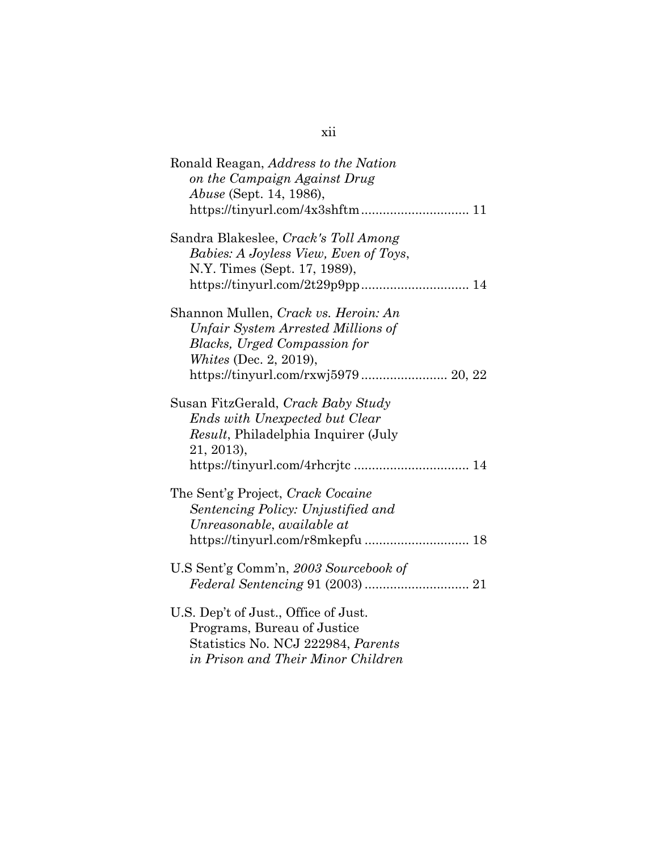| Ronald Reagan, Address to the Nation<br>on the Campaign Against Drug                                                                                                         |
|------------------------------------------------------------------------------------------------------------------------------------------------------------------------------|
| <i>Abuse</i> (Sept. 14, 1986),                                                                                                                                               |
| Sandra Blakeslee, Crack's Toll Among<br>Babies: A Joyless View, Even of Toys,<br>N.Y. Times (Sept. 17, 1989),                                                                |
| Shannon Mullen, Crack vs. Heroin: An<br>Unfair System Arrested Millions of<br><b>Blacks, Urged Compassion for</b><br><i>Whites</i> (Dec. 2, 2019),                           |
| Susan FitzGerald, Crack Baby Study<br><b>Ends with Unexpected but Clear</b><br><i>Result</i> , Philadelphia Inquirer (July<br>21, 2013),<br>https://tinyurl.com/4rhcrjtc  14 |
| The Sent'g Project, Crack Cocaine<br>Sentencing Policy: Unjustified and<br>Unreasonable, available at<br>https://tinyurl.com/r8mkepfu 18                                     |
| U.S Sent'g Comm'n, 2003 Sourcebook of                                                                                                                                        |
| U.S. Dep't of Just., Office of Just.<br>Programs, Bureau of Justice<br>Statistics No. NCJ 222984, Parents<br>in Prison and Their Minor Children                              |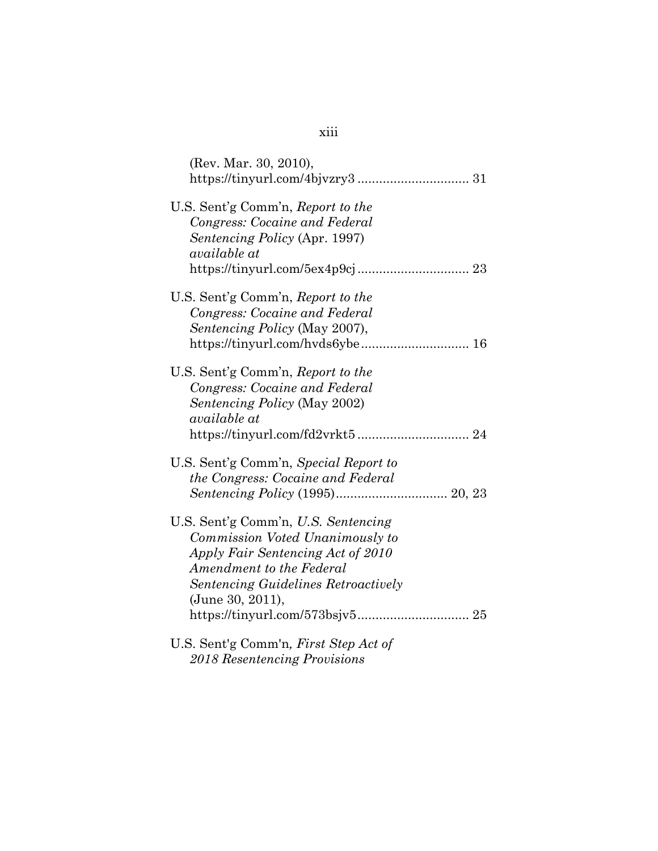| (Rev. Mar. 30, 2010),                      |
|--------------------------------------------|
|                                            |
| U.S. Sent'g Comm'n, Report to the          |
| Congress: Cocaine and Federal              |
| Sentencing Policy (Apr. 1997)              |
| available at                               |
|                                            |
| U.S. Sent'g Comm'n, Report to the          |
| Congress: Cocaine and Federal              |
| Sentencing Policy (May 2007),              |
|                                            |
| U.S. Sent'g Comm'n, Report to the          |
| Congress: Cocaine and Federal              |
| Sentencing Policy (May 2002)               |
| <i>available at</i>                        |
|                                            |
| U.S. Sent'g Comm'n, Special Report to      |
| the Congress: Cocaine and Federal          |
|                                            |
| U.S. Sent'g Comm'n, U.S. Sentencing        |
| Commission Voted Unanimously to            |
| Apply Fair Sentencing Act of 2010          |
| Amendment to the Federal                   |
| <b>Sentencing Guidelines Retroactively</b> |
| (June 30, 2011),                           |
|                                            |
| U.S. Sent'g Comm'n, First Step Act of      |
| 2018 Resentencing Provisions               |

# xiii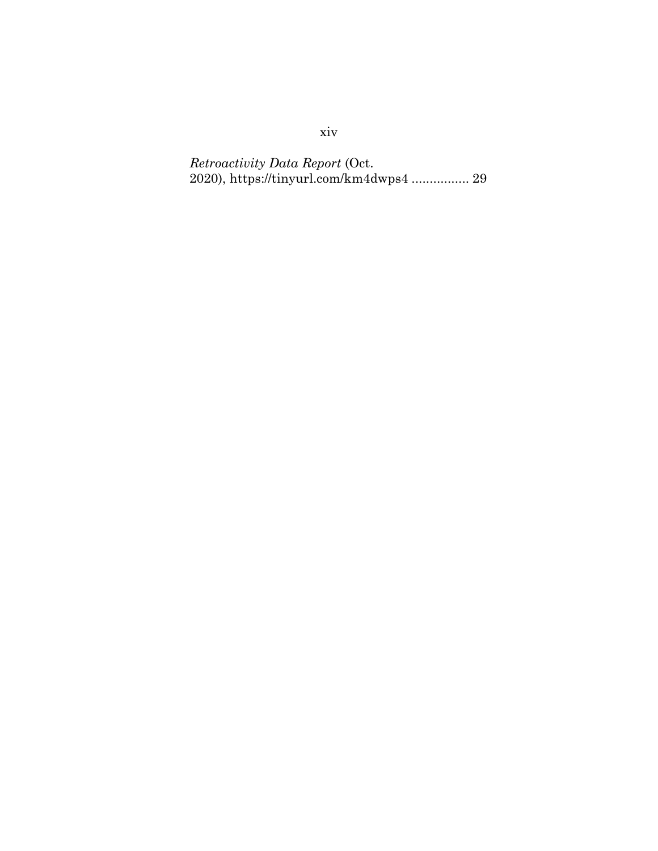*Retroactivity Data Report* (Oct. 2020), https://tinyurl.com/km4dwps4 ................ 29

xiv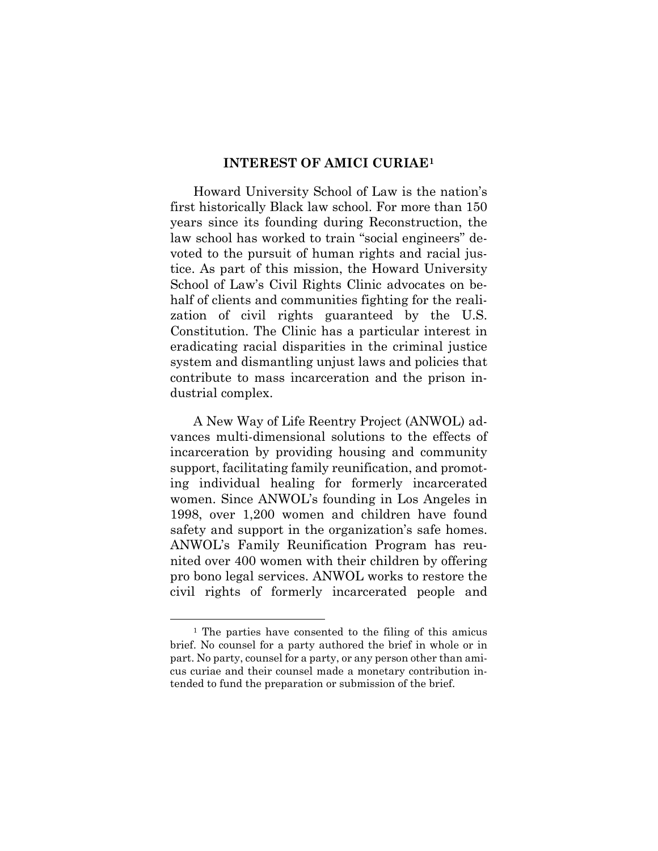#### **INTEREST OF AMICI CURIAE[1](#page-15-1)**

<span id="page-15-0"></span>Howard University School of Law is the nation's first historically Black law school. For more than 150 years since its founding during Reconstruction, the law school has worked to train "social engineers" devoted to the pursuit of human rights and racial justice. As part of this mission, the Howard University School of Law's Civil Rights Clinic advocates on behalf of clients and communities fighting for the realization of civil rights guaranteed by the U.S. Constitution. The Clinic has a particular interest in eradicating racial disparities in the criminal justice system and dismantling unjust laws and policies that contribute to mass incarceration and the prison industrial complex.

A New Way of Life Reentry Project (ANWOL) advances multi-dimensional solutions to the effects of incarceration by providing housing and community support, facilitating family reunification, and promoting individual healing for formerly incarcerated women. Since ANWOL's founding in Los Angeles in 1998, over 1,200 women and children have found safety and support in the organization's safe homes. ANWOL's Family Reunification Program has reunited over 400 women with their children by offering pro bono legal services. ANWOL works to restore the civil rights of formerly incarcerated people and

<span id="page-15-1"></span><sup>1</sup> The parties have consented to the filing of this amicus brief. No counsel for a party authored the brief in whole or in part. No party, counsel for a party, or any person other than amicus curiae and their counsel made a monetary contribution intended to fund the preparation or submission of the brief.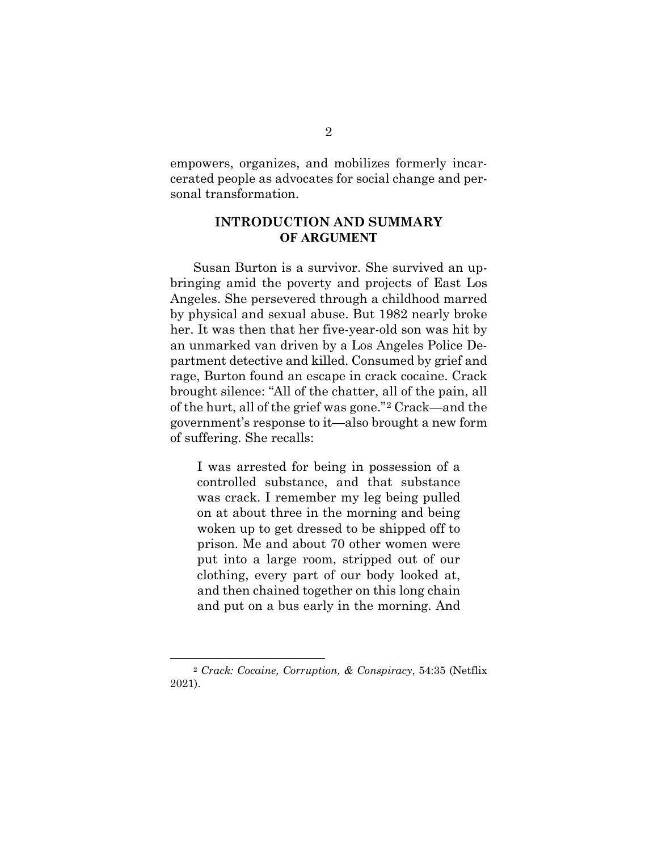empowers, organizes, and mobilizes formerly incarcerated people as advocates for social change and personal transformation.

### <span id="page-16-0"></span>**INTRODUCTION AND SUMMARY OF ARGUMENT**

Susan Burton is a survivor. She survived an upbringing amid the poverty and projects of East Los Angeles. She persevered through a childhood marred by physical and sexual abuse. But 1982 nearly broke her. It was then that her five-year-old son was hit by an unmarked van driven by a Los Angeles Police Department detective and killed. Consumed by grief and rage, Burton found an escape in crack cocaine. Crack brought silence: "All of the chatter, all of the pain, all of the hurt, all of the grief was gone."[2](#page-16-1) Crack—and the government's response to it—also brought a new form of suffering. She recalls:

I was arrested for being in possession of a controlled substance, and that substance was crack. I remember my leg being pulled on at about three in the morning and being woken up to get dressed to be shipped off to prison. Me and about 70 other women were put into a large room, stripped out of our clothing, every part of our body looked at, and then chained together on this long chain and put on a bus early in the morning. And

<span id="page-16-1"></span><sup>2</sup> *Crack: Cocaine, Corruption, & Conspiracy*, 54:35 (Netflix 2021).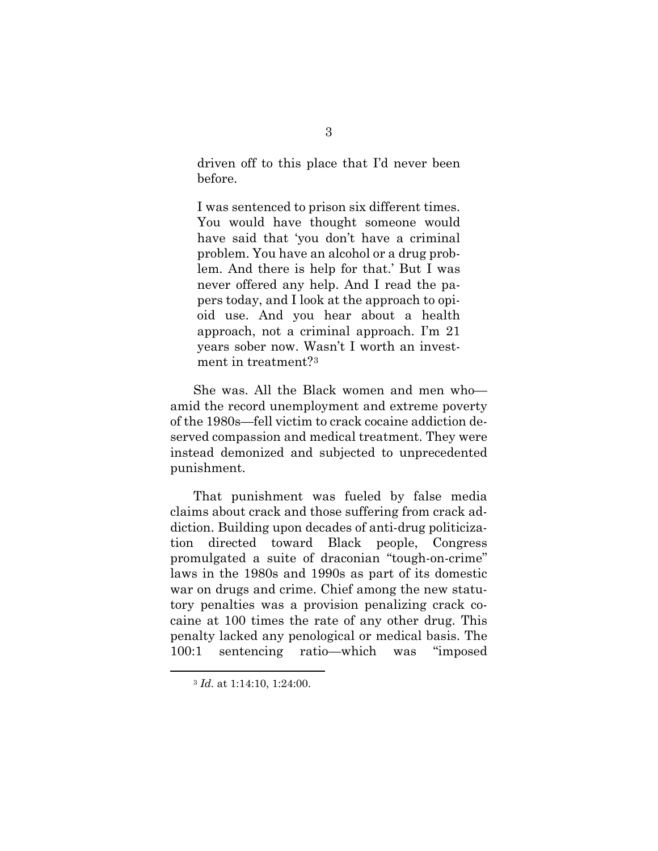driven off to this place that I'd never been before.

I was sentenced to prison six different times. You would have thought someone would have said that 'you don't have a criminal problem. You have an alcohol or a drug problem. And there is help for that.' But I was never offered any help. And I read the papers today, and I look at the approach to opioid use. And you hear about a health approach, not a criminal approach. I'm 21 years sober now. Wasn't I worth an investment in treatment?[3](#page-17-0)

She was. All the Black women and men who amid the record unemployment and extreme poverty of the 1980s—fell victim to crack cocaine addiction deserved compassion and medical treatment. They were instead demonized and subjected to unprecedented punishment.

That punishment was fueled by false media claims about crack and those suffering from crack addiction. Building upon decades of anti-drug politicization directed toward Black people, Congress promulgated a suite of draconian "tough-on-crime" laws in the 1980s and 1990s as part of its domestic war on drugs and crime. Chief among the new statutory penalties was a provision penalizing crack cocaine at 100 times the rate of any other drug. This penalty lacked any penological or medical basis. The 100:1 sentencing ratio—which was "imposed

<span id="page-17-0"></span><sup>3</sup> *Id.* at 1:14:10, 1:24:00.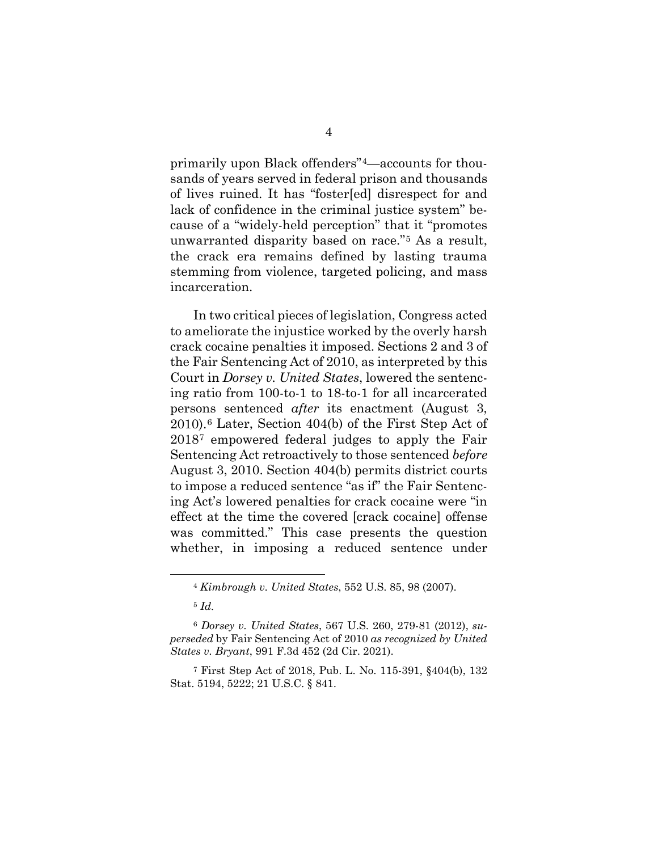primarily upon Black offenders"[4—](#page-18-0)accounts for thousands of years served in federal prison and thousands of lives ruined. It has "foster[ed] disrespect for and lack of confidence in the criminal justice system" because of a "widely-held perception" that it "promotes unwarranted disparity based on race."[5](#page-18-1) As a result, the crack era remains defined by lasting trauma stemming from violence, targeted policing, and mass incarceration.

In two critical pieces of legislation, Congress acted to ameliorate the injustice worked by the overly harsh crack cocaine penalties it imposed. Sections 2 and 3 of the Fair Sentencing Act of 2010, as interpreted by this Court in *Dorsey v. United States*, lowered the sentencing ratio from 100-to-1 to 18-to-1 for all incarcerated persons sentenced *after* its enactment (August 3, 2010).[6](#page-18-2) Later, Section 404(b) of the First Step Act of 2018[7](#page-18-3) empowered federal judges to apply the Fair Sentencing Act retroactively to those sentenced *before*  August 3, 2010. Section 404(b) permits district courts to impose a reduced sentence "as if" the Fair Sentencing Act's lowered penalties for crack cocaine were "in effect at the time the covered [crack cocaine] offense was committed." This case presents the question whether, in imposing a reduced sentence under

<sup>4</sup> *Kimbrough v. United States*, 552 U.S. 85, 98 (2007).

<sup>5</sup> *Id.*

<span id="page-18-2"></span><span id="page-18-1"></span><span id="page-18-0"></span><sup>6</sup> *Dorsey v. United States*, 567 U.S. 260, 279-81 (2012), *superseded* by Fair Sentencing Act of 2010 *as recognized by United States v. Bryant*, 991 F.3d 452 (2d Cir. 2021).

<span id="page-18-3"></span><sup>7</sup> First Step Act of 2018, Pub. L. No. 115-391, §404(b), 132 Stat. 5194, 5222; 21 U.S.C. § 841.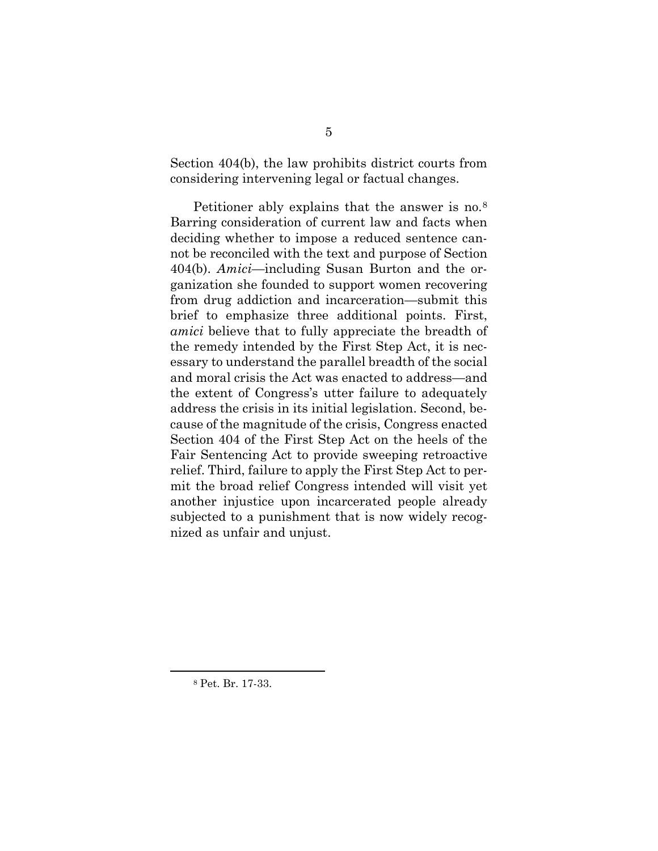Section 404(b), the law prohibits district courts from considering intervening legal or factual changes.

Petitioner ably explains that the answer is no.<sup>[8](#page-19-0)</sup> Barring consideration of current law and facts when deciding whether to impose a reduced sentence cannot be reconciled with the text and purpose of Section 404(b). *Amici*—including Susan Burton and the organization she founded to support women recovering from drug addiction and incarceration—submit this brief to emphasize three additional points. First, *amici* believe that to fully appreciate the breadth of the remedy intended by the First Step Act, it is necessary to understand the parallel breadth of the social and moral crisis the Act was enacted to address—and the extent of Congress's utter failure to adequately address the crisis in its initial legislation. Second, because of the magnitude of the crisis, Congress enacted Section 404 of the First Step Act on the heels of the Fair Sentencing Act to provide sweeping retroactive relief. Third, failure to apply the First Step Act to permit the broad relief Congress intended will visit yet another injustice upon incarcerated people already subjected to a punishment that is now widely recognized as unfair and unjust.

<span id="page-19-0"></span><sup>8</sup> Pet. Br. 17-33.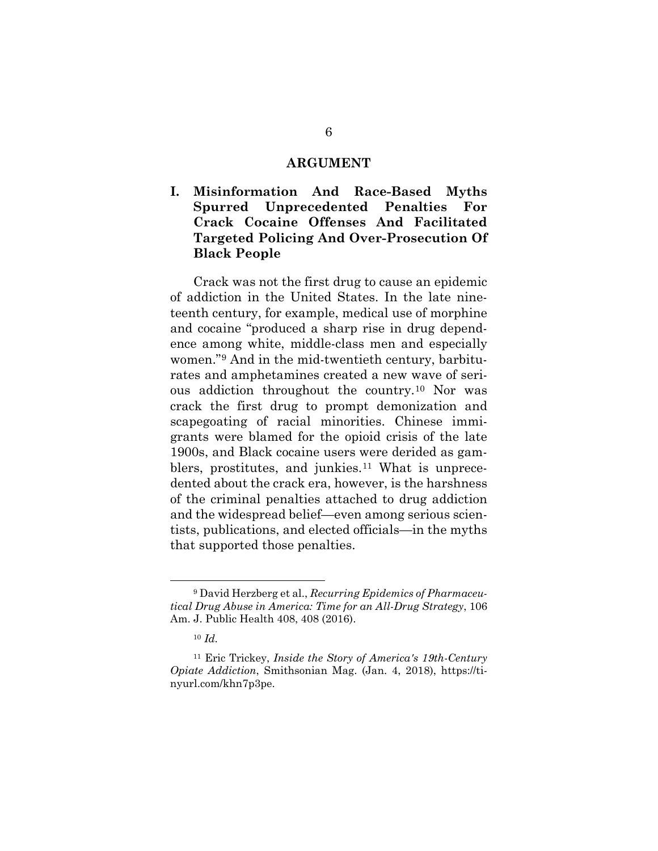#### **ARGUMENT**

<span id="page-20-1"></span><span id="page-20-0"></span>**I. Misinformation And Race-Based Myths Spurred Unprecedented Penalties For Crack Cocaine Offenses And Facilitated Targeted Policing And Over-Prosecution Of Black People** 

Crack was not the first drug to cause an epidemic of addiction in the United States. In the late nineteenth century, for example, medical use of morphine and cocaine "produced a sharp rise in drug dependence among white, middle-class men and especially women."[9](#page-20-2) And in the mid-twentieth century, barbiturates and amphetamines created a new wave of serious addiction throughout the country.[10](#page-20-3) Nor was crack the first drug to prompt demonization and scapegoating of racial minorities. Chinese immigrants were blamed for the opioid crisis of the late 1900s, and Black cocaine users were derided as gam-blers, prostitutes, and junkies.<sup>[11](#page-20-4)</sup> What is unprecedented about the crack era, however, is the harshness of the criminal penalties attached to drug addiction and the widespread belief—even among serious scientists, publications, and elected officials—in the myths that supported those penalties.

<span id="page-20-2"></span><sup>9</sup> David Herzberg et al., *Recurring Epidemics of Pharmaceutical Drug Abuse in America: Time for an All-Drug Strategy*, 106 Am. J. Public Health 408, 408 (2016).

<sup>10</sup> *Id.*

<span id="page-20-4"></span><span id="page-20-3"></span><sup>11</sup> Eric Trickey, *Inside the Story of America's 19th-Century Opiate Addiction*, Smithsonian Mag. (Jan. 4, 2018), https://tinyurl.com/khn7p3pe.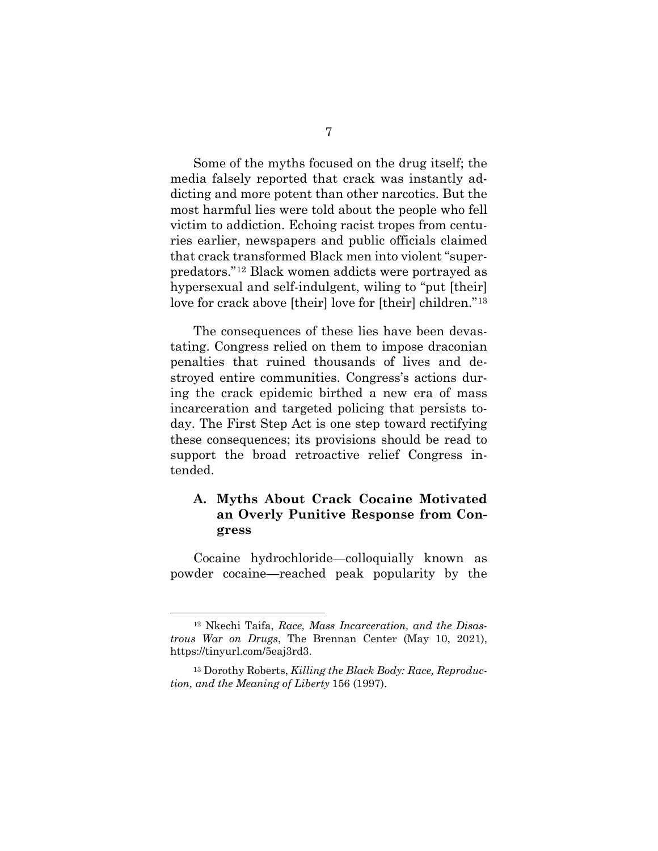Some of the myths focused on the drug itself; the media falsely reported that crack was instantly addicting and more potent than other narcotics. But the most harmful lies were told about the people who fell victim to addiction. Echoing racist tropes from centuries earlier, newspapers and public officials claimed that crack transformed Black men into violent "superpredators."[12](#page-21-1) Black women addicts were portrayed as hypersexual and self-indulgent, wiling to "put [their] love for crack above [their] love for [their] children."[13](#page-21-2) 

The consequences of these lies have been devastating. Congress relied on them to impose draconian penalties that ruined thousands of lives and destroyed entire communities. Congress's actions during the crack epidemic birthed a new era of mass incarceration and targeted policing that persists today. The First Step Act is one step toward rectifying these consequences; its provisions should be read to support the broad retroactive relief Congress intended.

# <span id="page-21-0"></span>**A. Myths About Crack Cocaine Motivated an Overly Punitive Response from Congress**

Cocaine hydrochloride—colloquially known as powder cocaine—reached peak popularity by the

<span id="page-21-1"></span><sup>12</sup> Nkechi Taifa, *Race, Mass Incarceration, and the Disastrous War on Drugs*, The Brennan Center (May 10, 2021), https://tinyurl.com/5eaj3rd3.

<span id="page-21-2"></span><sup>13</sup> Dorothy Roberts, *Killing the Black Body: Race, Reproduction, and the Meaning of Liberty* 156 (1997).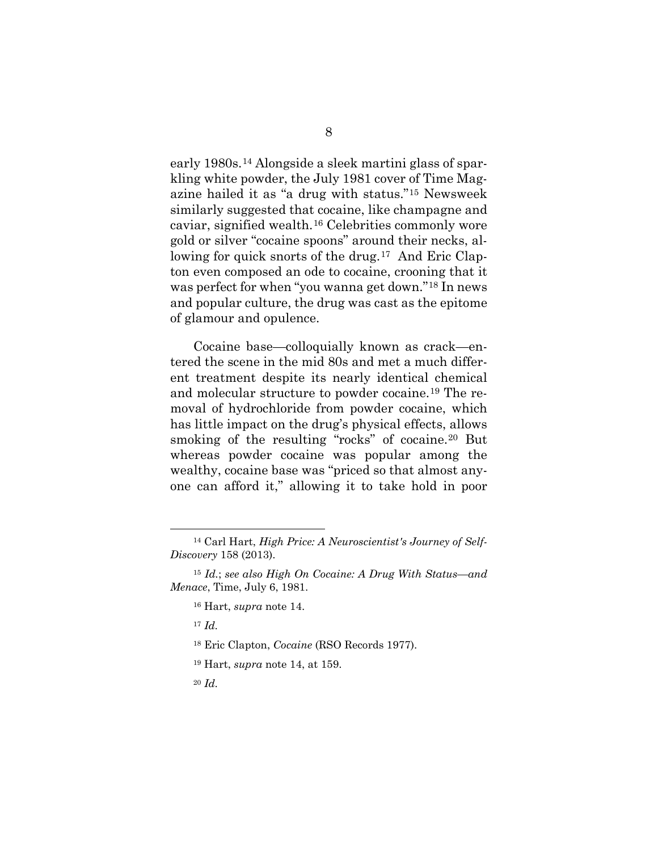early 1980s.[14](#page-22-0) Alongside a sleek martini glass of sparkling white powder, the July 1981 cover of Time Magazine hailed it as "a drug with status."[15](#page-22-1) Newsweek similarly suggested that cocaine, like champagne and caviar, signified wealth.[16](#page-22-2) Celebrities commonly wore gold or silver "cocaine spoons" around their necks, al-lowing for quick snorts of the drug.<sup>[17](#page-22-3)</sup> And Eric Clapton even composed an ode to cocaine, crooning that it was perfect for when "you wanna get down."[18](#page-22-4) In news and popular culture, the drug was cast as the epitome of glamour and opulence.

Cocaine base—colloquially known as crack—entered the scene in the mid 80s and met a much different treatment despite its nearly identical chemical and molecular structure to powder cocaine.[19](#page-22-5) The removal of hydrochloride from powder cocaine, which has little impact on the drug's physical effects, allows smoking of the resulting "rocks" of cocaine.<sup>[20](#page-22-6)</sup> But whereas powder cocaine was popular among the wealthy, cocaine base was "priced so that almost anyone can afford it," allowing it to take hold in poor

<sup>17</sup> *Id.* 

<span id="page-22-6"></span><sup>20</sup> *Id.* 

<span id="page-22-0"></span><sup>14</sup> Carl Hart, *High Price: A Neuroscientist's Journey of Self-Discovery* 158 (2013).

<span id="page-22-5"></span><span id="page-22-4"></span><span id="page-22-3"></span><span id="page-22-2"></span><span id="page-22-1"></span><sup>15</sup> *Id.*; *see also High On Cocaine: A Drug With Status—and Menace*, Time, July 6, 1981.

<sup>16</sup> Hart, *supra* note 14.

<sup>18</sup> Eric Clapton, *Cocaine* (RSO Records 1977).

<sup>19</sup> Hart, *supra* note 14, at 159.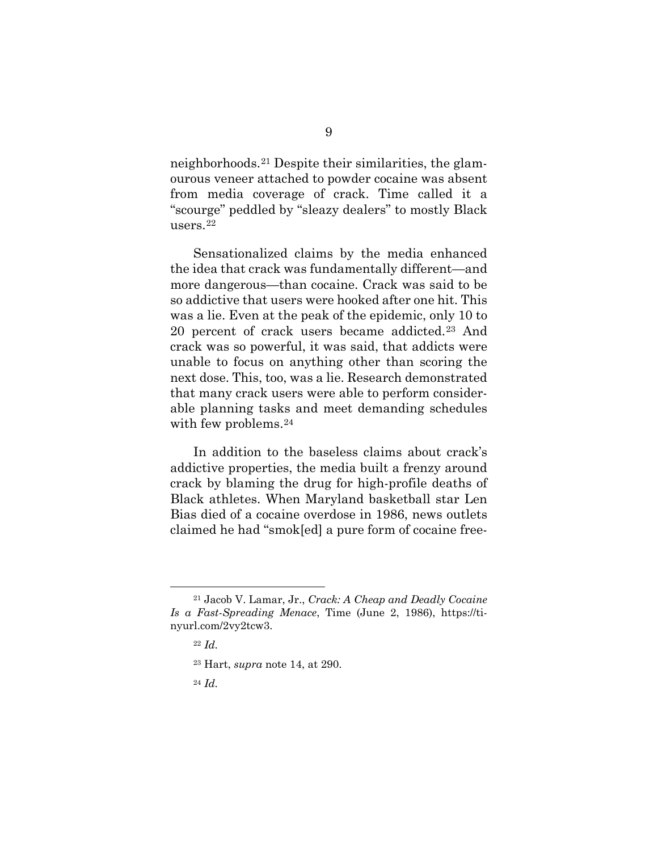neighborhoods.[21](#page-23-0) Despite their similarities, the glamourous veneer attached to powder cocaine was absent from media coverage of crack. Time called it a "scourge" peddled by "sleazy dealers" to mostly Black users.[22](#page-23-1) 

Sensationalized claims by the media enhanced the idea that crack was fundamentally different—and more dangerous—than cocaine. Crack was said to be so addictive that users were hooked after one hit. This was a lie. Even at the peak of the epidemic, only 10 to 20 percent of crack users became addicted.[23](#page-23-2) And crack was so powerful, it was said, that addicts were unable to focus on anything other than scoring the next dose. This, too, was a lie. Research demonstrated that many crack users were able to perform considerable planning tasks and meet demanding schedules with few problems.<sup>[24](#page-23-3)</sup>

In addition to the baseless claims about crack's addictive properties, the media built a frenzy around crack by blaming the drug for high-profile deaths of Black athletes. When Maryland basketball star Len Bias died of a cocaine overdose in 1986, news outlets claimed he had "smok[ed] a pure form of cocaine free-

<span id="page-23-3"></span><span id="page-23-2"></span><span id="page-23-1"></span><span id="page-23-0"></span><sup>21</sup> Jacob V. Lamar, Jr., *Crack: A Cheap and Deadly Cocaine Is a Fast-Spreading Menace*, Time (June 2, 1986), https://tinyurl.com/2vy2tcw3.

<sup>22</sup> *Id.* 

<sup>23</sup> Hart, *supra* note 14, at 290.

<sup>24</sup> *Id.*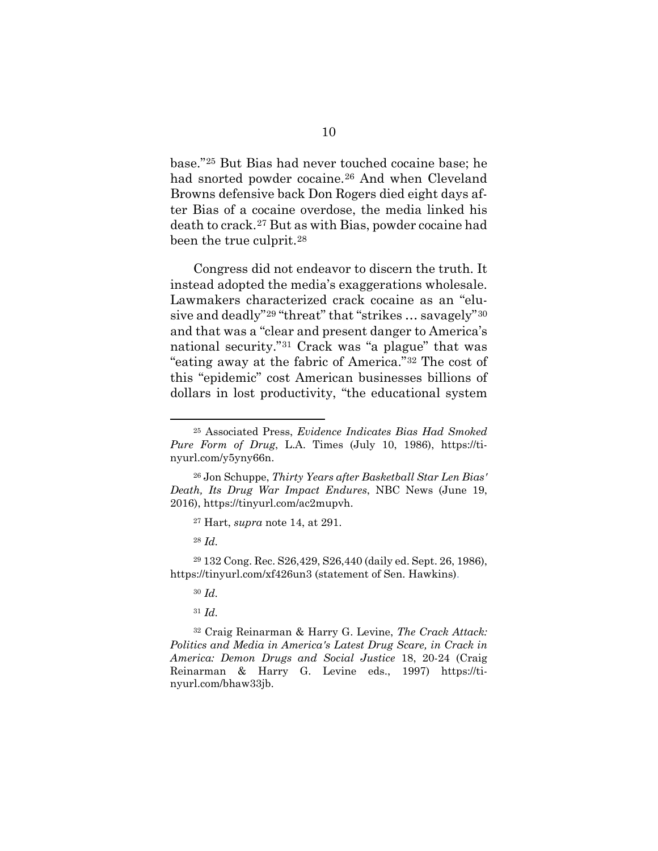base."[25](#page-24-0) But Bias had never touched cocaine base; he had snorted powder cocaine.[26](#page-24-1) And when Cleveland Browns defensive back Don Rogers died eight days after Bias of a cocaine overdose, the media linked his death to crack.[27](#page-24-2) But as with Bias, powder cocaine had been the true culprit.[28](#page-24-3) 

Congress did not endeavor to discern the truth. It instead adopted the media's exaggerations wholesale. Lawmakers characterized crack cocaine as an "elusive and deadly"[29](#page-24-4) "threat" that "strikes … savagely"[30](#page-24-5) and that was a "clear and present danger to America's national security.["31](#page-24-6) Crack was "a plague" that was "eating away at the fabric of America."[32](#page-24-7) The cost of this "epidemic" cost American businesses billions of dollars in lost productivity, "the educational system

<sup>28</sup> *Id.* 

<sup>31</sup> *Id.* 

<span id="page-24-7"></span><span id="page-24-6"></span><sup>32</sup> Craig Reinarman & Harry G. Levine, *The Crack Attack: Politics and Media in America's Latest Drug Scare, in Crack in America: Demon Drugs and Social Justice* 18, 20-24 (Craig Reinarman & Harry G. Levine eds., 1997) https://tinyurl.com/bhaw33jb.

<span id="page-24-0"></span><sup>25</sup> Associated Press, *Evidence Indicates Bias Had Smoked Pure Form of Drug*, L.A. Times (July 10, 1986), https://tinyurl.com/y5yny66n.

<span id="page-24-1"></span><sup>26</sup> Jon Schuppe, *Thirty Years after Basketball Star Len Bias' Death, Its Drug War Impact Endures*, NBC News (June 19, 2016), https://tinyurl.com/ac2mupvh.

<sup>27</sup> Hart, *supra* note 14, at 291.

<span id="page-24-5"></span><span id="page-24-4"></span><span id="page-24-3"></span><span id="page-24-2"></span><sup>29</sup> 132 Cong. Rec. S26,429, S26,440 (daily ed. Sept. 26, 1986), https://tinyurl.com/xf426un3 (statement of Sen. Hawkins).

<sup>30</sup> *Id.*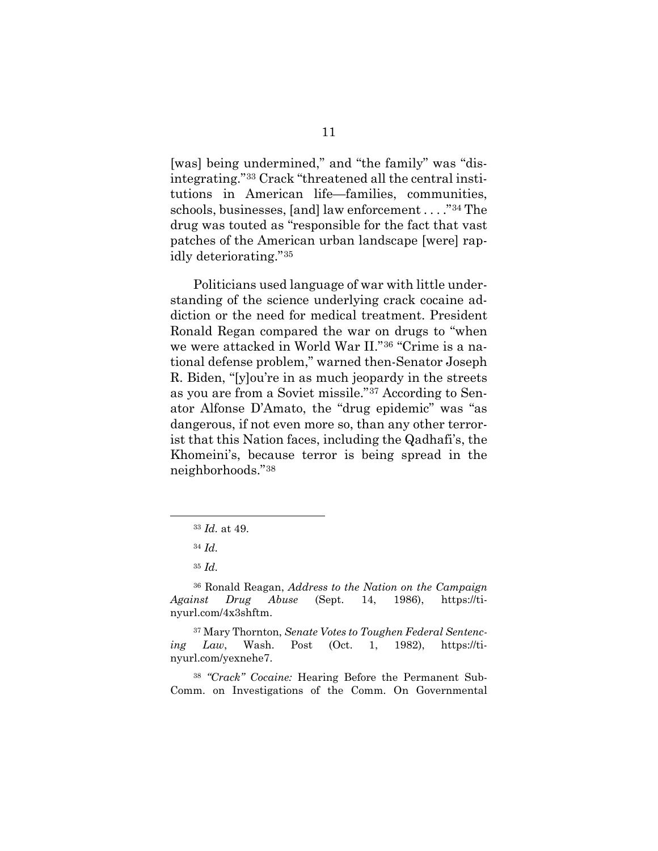[was] being undermined," and "the family" was "disintegrating."[33](#page-25-0) Crack "threatened all the central institutions in American life—families, communities, schools, businesses, [and] law enforcement . . . ."[34](#page-25-1) The drug was touted as "responsible for the fact that vast patches of the American urban landscape [were] rapidly deteriorating."[35](#page-25-2)

Politicians used language of war with little understanding of the science underlying crack cocaine addiction or the need for medical treatment. President Ronald Regan compared the war on drugs to "when we were attacked in World War II."[36](#page-25-3) "Crime is a national defense problem," warned then-Senator Joseph R. Biden, "[y]ou're in as much jeopardy in the streets as you are from a Soviet missile."[37](#page-25-4) According to Senator Alfonse D'Amato, the "drug epidemic" was "as dangerous, if not even more so, than any other terrorist that this Nation faces, including the Qadhafi's, the Khomeini's, because terror is being spread in the neighborhoods."[38](#page-25-5)

<sup>33</sup> *Id.* at 49.

<sup>34</sup> *Id.* 

<sup>35</sup> *Id.* 

<span id="page-25-3"></span><span id="page-25-2"></span><span id="page-25-1"></span><span id="page-25-0"></span><sup>36</sup> Ronald Reagan, *Address to the Nation on the Campaign Against Drug Abuse* (Sept. 14, 1986), https://tinyurl.com/4x3shftm.

<span id="page-25-4"></span><sup>37</sup> Mary Thornton, *Senate Votes to Toughen Federal Sentencing Law*, Wash. Post (Oct. 1, 1982), https://tinyurl.com/yexnehe7.

<span id="page-25-5"></span><sup>38</sup> *"Crack" Cocaine:* Hearing Before the Permanent Sub-Comm. on Investigations of the Comm. On Governmental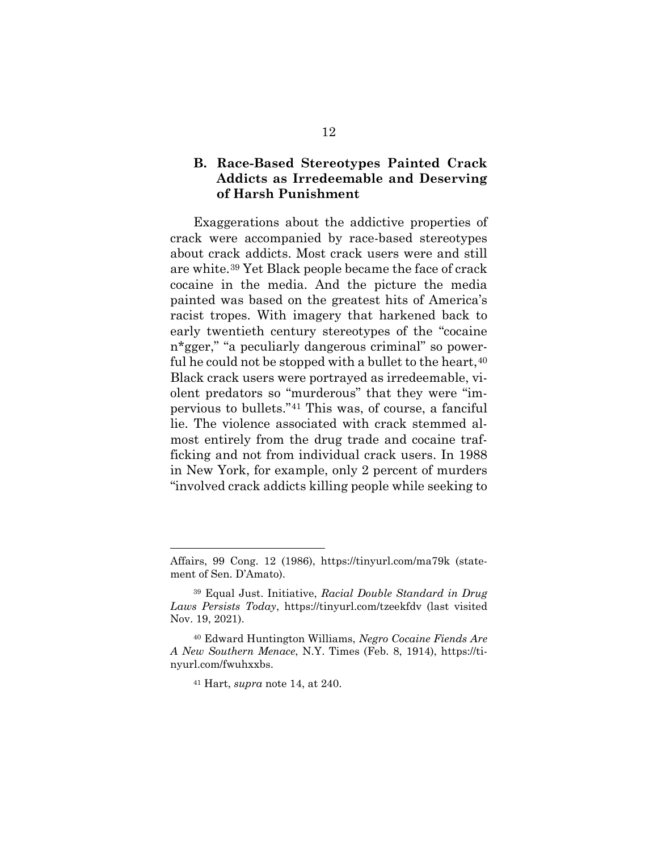## <span id="page-26-0"></span>**B. Race-Based Stereotypes Painted Crack Addicts as Irredeemable and Deserving of Harsh Punishment**

Exaggerations about the addictive properties of crack were accompanied by race-based stereotypes about crack addicts. Most crack users were and still are white.[39](#page-26-1) Yet Black people became the face of crack cocaine in the media. And the picture the media painted was based on the greatest hits of America's racist tropes. With imagery that harkened back to early twentieth century stereotypes of the "cocaine n\*gger," "a peculiarly dangerous criminal" so powerful he could not be stopped with a bullet to the heart,  $40$ Black crack users were portrayed as irredeemable, violent predators so "murderous" that they were "impervious to bullets."[41](#page-26-3) This was, of course, a fanciful lie. The violence associated with crack stemmed almost entirely from the drug trade and cocaine trafficking and not from individual crack users. In 1988 in New York, for example, only 2 percent of murders "involved crack addicts killing people while seeking to

Affairs, 99 Cong. 12 (1986), https://tinyurl.com/ma79k (statement of Sen. D'Amato).

<span id="page-26-1"></span><sup>39</sup> Equal Just. Initiative, *Racial Double Standard in Drug Laws Persists Today*, https://tinyurl.com/tzeekfdv (last visited Nov. 19, 2021).

<span id="page-26-3"></span><span id="page-26-2"></span><sup>40</sup> Edward Huntington Williams, *Negro Cocaine Fiends Are A New Southern Menace*, N.Y. Times (Feb. 8, 1914), https://tinyurl.com/fwuhxxbs.

<sup>41</sup> Hart, *supra* note 14, at 240.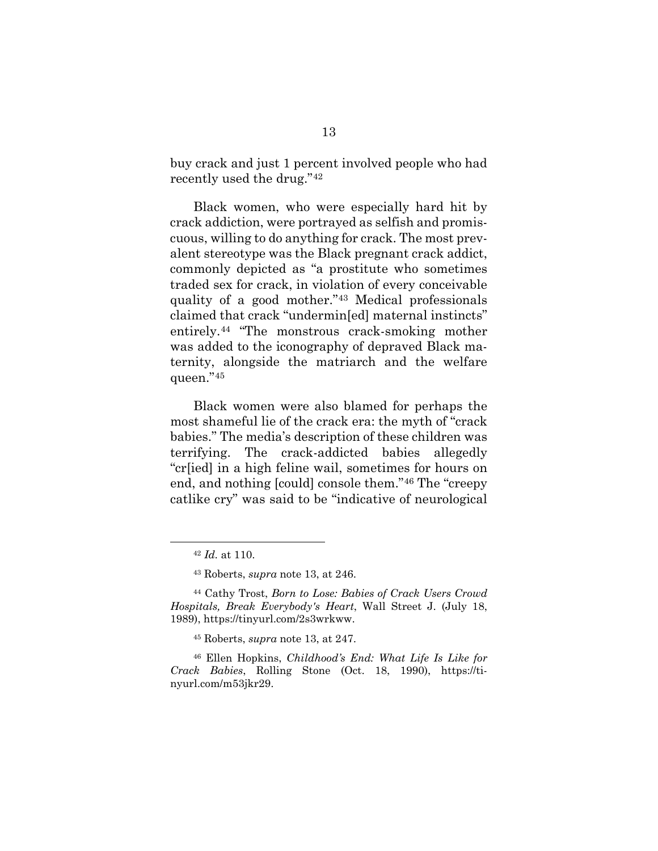buy crack and just 1 percent involved people who had recently used the drug."[42](#page-27-0)

Black women, who were especially hard hit by crack addiction, were portrayed as selfish and promiscuous, willing to do anything for crack. The most prevalent stereotype was the Black pregnant crack addict, commonly depicted as "a prostitute who sometimes traded sex for crack, in violation of every conceivable quality of a good mother."[43](#page-27-1) Medical professionals claimed that crack "undermin[ed] maternal instincts" entirely.[44](#page-27-2) "The monstrous crack-smoking mother was added to the iconography of depraved Black maternity, alongside the matriarch and the welfare queen."[45](#page-27-3)

Black women were also blamed for perhaps the most shameful lie of the crack era: the myth of "crack babies." The media's description of these children was terrifying. The crack-addicted babies allegedly "cr[ied] in a high feline wail, sometimes for hours on end, and nothing [could] console them."[46](#page-27-4) The "creepy catlike cry" was said to be "indicative of neurological

<sup>42</sup> *Id.* at 110.

<sup>43</sup> Roberts, *supra* note 13, at 246.

<span id="page-27-2"></span><span id="page-27-1"></span><span id="page-27-0"></span><sup>44</sup> Cathy Trost, *Born to Lose: Babies of Crack Users Crowd Hospitals, Break Everybody's Heart*, Wall Street J. (July 18, 1989), https://tinyurl.com/2s3wrkww.

<sup>45</sup> Roberts, *supra* note 13, at 247.

<span id="page-27-4"></span><span id="page-27-3"></span><sup>46</sup> Ellen Hopkins, *Childhood's End: What Life Is Like for Crack Babies*, Rolling Stone (Oct. 18, 1990), https://tinyurl.com/m53jkr29.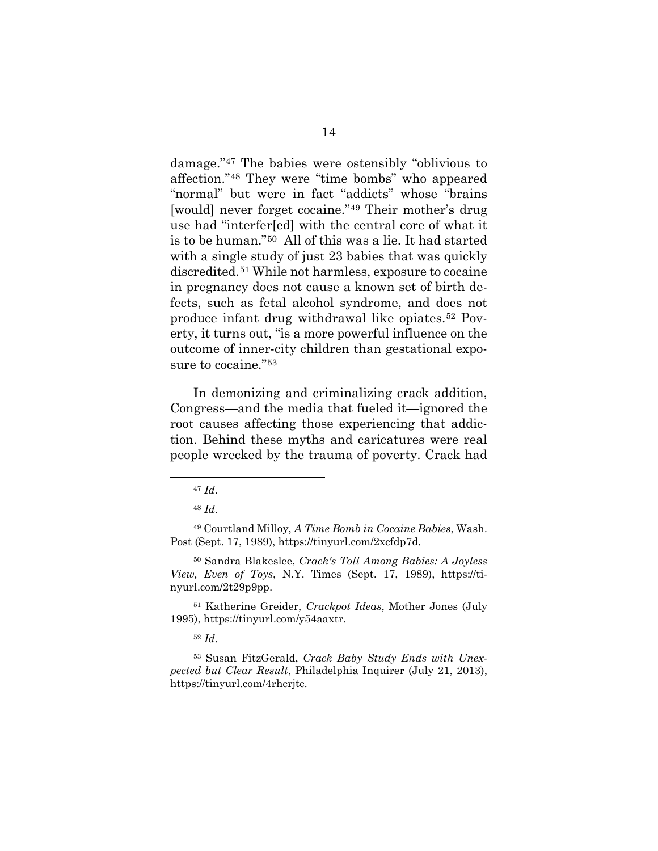damage."[47](#page-28-0) The babies were ostensibly "oblivious to affection."[48](#page-28-1) They were "time bombs" who appeared "normal" but were in fact "addicts" whose "brains [would] never forget cocaine."[49](#page-28-2) Their mother's drug use had "interfer[ed] with the central core of what it is to be human."[50](#page-28-3) All of this was a lie. It had started with a single study of just 23 babies that was quickly discredited.[51](#page-28-4) While not harmless, exposure to cocaine in pregnancy does not cause a known set of birth defects, such as fetal alcohol syndrome, and does not produce infant drug withdrawal like opiates.[52](#page-28-5) Poverty, it turns out, "is a more powerful influence on the outcome of inner-city children than gestational exposure to cocaine."[53](#page-28-6) 

In demonizing and criminalizing crack addition, Congress—and the media that fueled it—ignored the root causes affecting those experiencing that addiction. Behind these myths and caricatures were real people wrecked by the trauma of poverty. Crack had

<span id="page-28-2"></span><span id="page-28-1"></span><span id="page-28-0"></span><sup>49</sup> Courtland Milloy, *A Time Bomb in Cocaine Babies*, Wash. Post (Sept. 17, 1989), https://tinyurl.com/2xcfdp7d.

<span id="page-28-3"></span><sup>50</sup> Sandra Blakeslee, *Crack's Toll Among Babies: A Joyless View, Even of Toys*, N.Y. Times (Sept. 17, 1989), https://tinyurl.com/2t29p9pp.

<span id="page-28-4"></span><sup>51</sup> Katherine Greider, *Crackpot Ideas*, Mother Jones (July 1995), https://tinyurl.com/y54aaxtr.

<span id="page-28-6"></span><span id="page-28-5"></span><sup>53</sup> Susan FitzGerald, *Crack Baby Study Ends with Unexpected but Clear Result*, Philadelphia Inquirer (July 21, 2013), https://tinyurl.com/4rhcrjtc.

<sup>47</sup> *Id.* 

<sup>48</sup> *Id.* 

<sup>52</sup> *Id.*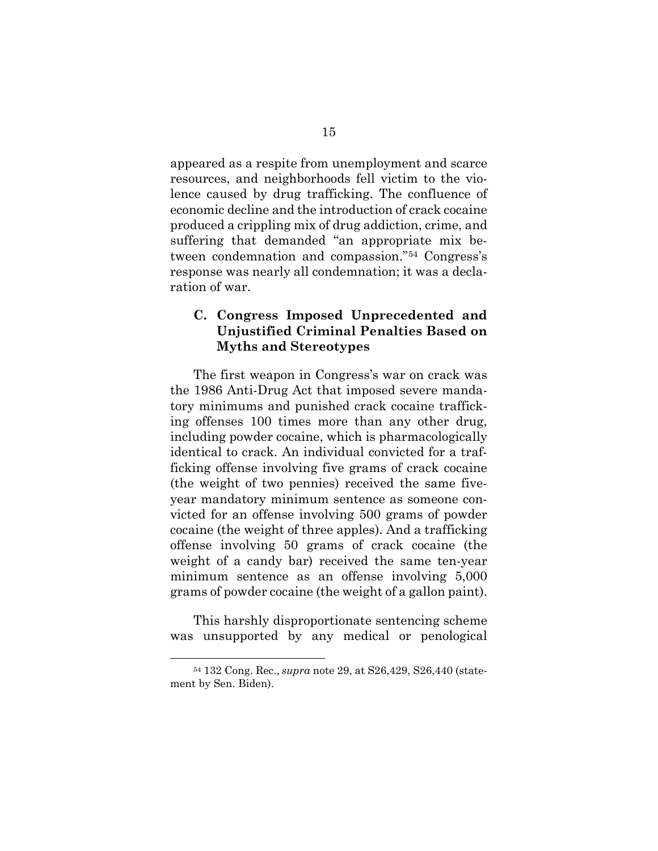appeared as a respite from unemployment and scarce resources, and neighborhoods fell victim to the violence caused by drug trafficking. The confluence of economic decline and the introduction of crack cocaine produced a crippling mix of drug addiction, crime, and suffering that demanded "an appropriate mix between condemnation and compassion."[54](#page-29-1) Congress's response was nearly all condemnation; it was a declaration of war.

## <span id="page-29-0"></span>**C. Congress Imposed Unprecedented and Unjustified Criminal Penalties Based on Myths and Stereotypes**

The first weapon in Congress's war on crack was the 1986 Anti-Drug Act that imposed severe mandatory minimums and punished crack cocaine trafficking offenses 100 times more than any other drug, including powder cocaine, which is pharmacologically identical to crack. An individual convicted for a trafficking offense involving five grams of crack cocaine (the weight of two pennies) received the same fiveyear mandatory minimum sentence as someone convicted for an offense involving 500 grams of powder cocaine (the weight of three apples). And a trafficking offense involving 50 grams of crack cocaine (the weight of a candy bar) received the same ten-year minimum sentence as an offense involving 5,000 grams of powder cocaine (the weight of a gallon paint).

This harshly disproportionate sentencing scheme was unsupported by any medical or penological

<span id="page-29-1"></span><sup>54</sup> 132 Cong. Rec., *supra* note 29, at S26,429, S26,440 (statement by Sen. Biden).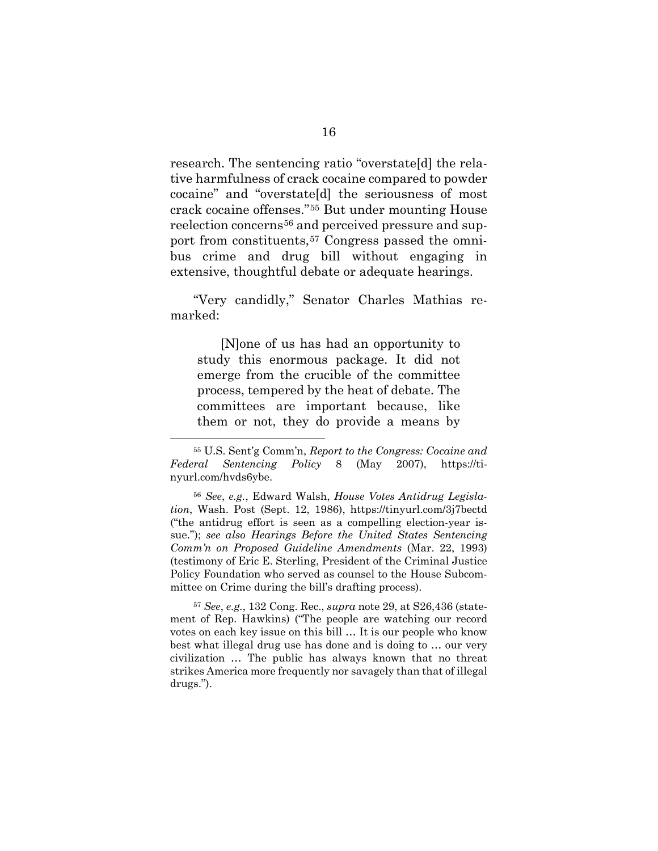research. The sentencing ratio "overstate[d] the relative harmfulness of crack cocaine compared to powder cocaine" and "overstate[d] the seriousness of most crack cocaine offenses."[55](#page-30-0) But under mounting House reelection concerns<sup>[56](#page-30-1)</sup> and perceived pressure and support from constituents,[57](#page-30-2) Congress passed the omnibus crime and drug bill without engaging in extensive, thoughtful debate or adequate hearings.

"Very candidly," Senator Charles Mathias remarked:

[N]one of us has had an opportunity to study this enormous package. It did not emerge from the crucible of the committee process, tempered by the heat of debate. The committees are important because, like them or not, they do provide a means by

<span id="page-30-2"></span><sup>57</sup> *See*, *e.g.*, 132 Cong. Rec., *supra* note 29, at S26,436 (statement of Rep. Hawkins) ("The people are watching our record votes on each key issue on this bill … It is our people who know best what illegal drug use has done and is doing to … our very civilization … The public has always known that no threat strikes America more frequently nor savagely than that of illegal drugs.").

<span id="page-30-0"></span><sup>55</sup> U.S. Sent'g Comm'n, *Report to the Congress: Cocaine and Federal Sentencing Policy* 8 (May 2007), https://tinyurl.com/hvds6ybe.

<span id="page-30-1"></span><sup>56</sup> *See*, *e.g.*, Edward Walsh, *House Votes Antidrug Legislation*, Wash. Post (Sept. 12, 1986), https://tinyurl.com/3j7bectd ("the antidrug effort is seen as a compelling election-year issue."); *see also Hearings Before the United States Sentencing Comm'n on Proposed Guideline Amendments* (Mar. 22, 1993) (testimony of Eric E. Sterling, President of the Criminal Justice Policy Foundation who served as counsel to the House Subcommittee on Crime during the bill's drafting process).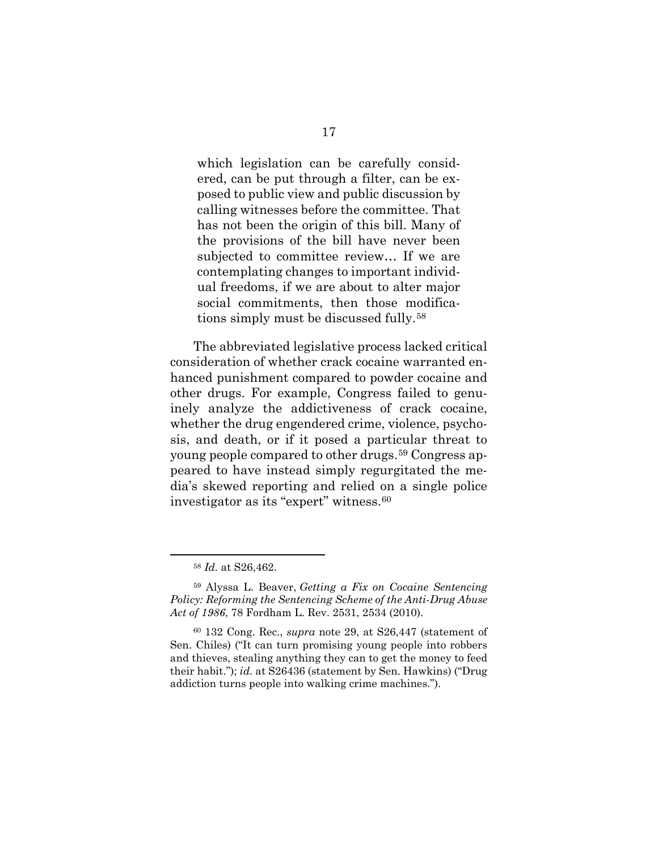which legislation can be carefully considered, can be put through a filter, can be exposed to public view and public discussion by calling witnesses before the committee. That has not been the origin of this bill. Many of the provisions of the bill have never been subjected to committee review… If we are contemplating changes to important individual freedoms, if we are about to alter major social commitments, then those modifications simply must be discussed fully.[58](#page-31-0)

The abbreviated legislative process lacked critical consideration of whether crack cocaine warranted enhanced punishment compared to powder cocaine and other drugs. For example, Congress failed to genuinely analyze the addictiveness of crack cocaine, whether the drug engendered crime, violence, psychosis, and death, or if it posed a particular threat to young people compared to other drugs.[59](#page-31-1) Congress appeared to have instead simply regurgitated the media's skewed reporting and relied on a single police investigator as its "expert" witness.[60](#page-31-2)

<sup>58</sup> *Id.* at S26,462.

<span id="page-31-1"></span><span id="page-31-0"></span><sup>59</sup> Alyssa L. Beaver, *Getting a Fix on Cocaine Sentencing Policy: Reforming the Sentencing Scheme of the Anti-Drug Abuse Act of 1986*, 78 Fordham L. Rev. 2531, 2534 (2010).

<span id="page-31-2"></span><sup>60</sup> 132 Cong. Rec., *supra* note 29, at S26,447 (statement of Sen. Chiles) ("It can turn promising young people into robbers and thieves, stealing anything they can to get the money to feed their habit."); *id.* at S26436 (statement by Sen. Hawkins) ("Drug addiction turns people into walking crime machines.").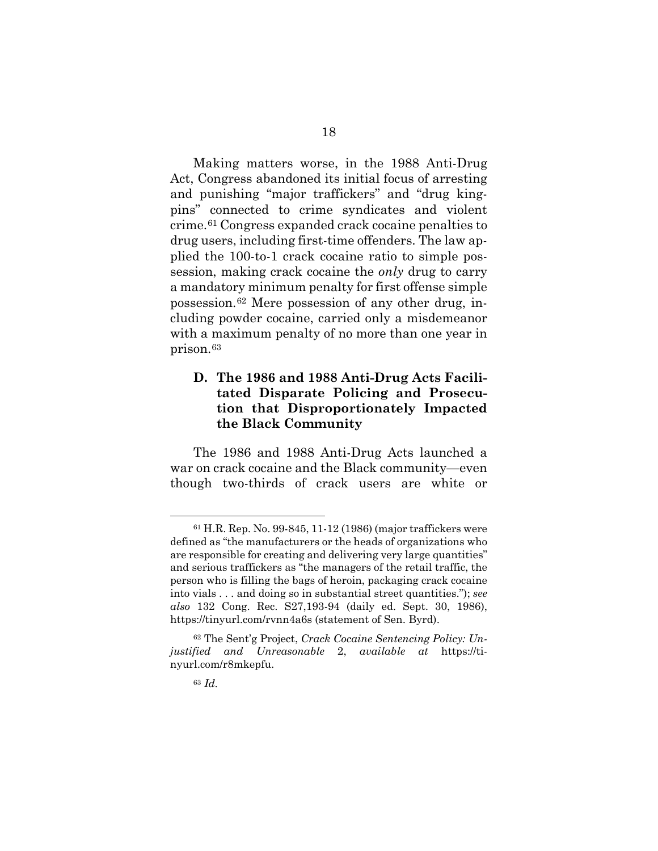Making matters worse, in the 1988 Anti-Drug Act, Congress abandoned its initial focus of arresting and punishing "major traffickers" and "drug kingpins" connected to crime syndicates and violent crime.[61](#page-32-1) Congress expanded crack cocaine penalties to drug users, including first-time offenders. The law applied the 100-to-1 crack cocaine ratio to simple possession, making crack cocaine the *only* drug to carry a mandatory minimum penalty for first offense simple possession.[62](#page-32-2) Mere possession of any other drug, including powder cocaine, carried only a misdemeanor with a maximum penalty of no more than one year in prison.[63](#page-32-3)

# <span id="page-32-0"></span>**D. The 1986 and 1988 Anti-Drug Acts Facilitated Disparate Policing and Prosecution that Disproportionately Impacted the Black Community**

The 1986 and 1988 Anti-Drug Acts launched a war on crack cocaine and the Black community—even though two-thirds of crack users are white or

<span id="page-32-1"></span><sup>61</sup> H.R. Rep. No. 99-845, 11-12 (1986) (major traffickers were defined as "the manufacturers or the heads of organizations who are responsible for creating and delivering very large quantities" and serious traffickers as "the managers of the retail traffic, the person who is filling the bags of heroin, packaging crack cocaine into vials . . . and doing so in substantial street quantities."); *see also* 132 Cong. Rec. S27,193-94 (daily ed. Sept. 30, 1986), https://tinyurl.com/rvnn4a6s (statement of Sen. Byrd).

<span id="page-32-3"></span><span id="page-32-2"></span><sup>62</sup> The Sent'g Project, *Crack Cocaine Sentencing Policy: Unjustified and Unreasonable* 2, *available at* https://tinyurl.com/r8mkepfu.

<sup>63</sup> *Id.*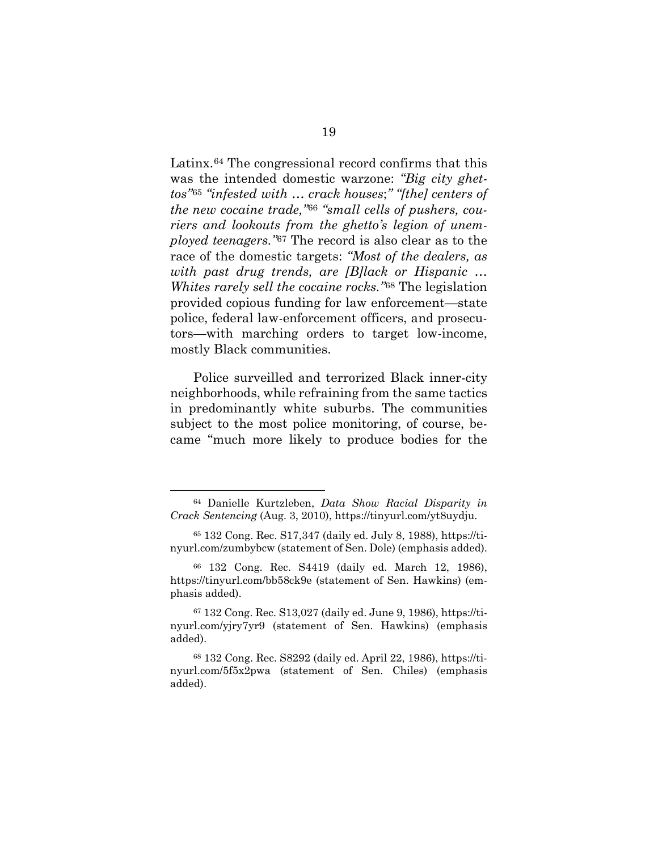Latinx.[64](#page-33-0) The congressional record confirms that this was the intended domestic warzone: *"Big city ghettos"*[65](#page-33-1) *"infested with … crack houses*;*" "[the] centers of the new cocaine trade,"*[66](#page-33-2) *"small cells of pushers, couriers and lookouts from the ghetto's legion of unemployed teenagers."*[67](#page-33-3) The record is also clear as to the race of the domestic targets: *"Most of the dealers, as with past drug trends, are [B]lack or Hispanic … Whites rarely sell the cocaine rocks."*[68](#page-33-4) The legislation provided copious funding for law enforcement—state police, federal law-enforcement officers, and prosecutors—with marching orders to target low-income, mostly Black communities.

Police surveilled and terrorized Black inner-city neighborhoods, while refraining from the same tactics in predominantly white suburbs. The communities subject to the most police monitoring, of course, became "much more likely to produce bodies for the

<span id="page-33-0"></span><sup>64</sup> Danielle Kurtzleben, *Data Show Racial Disparity in Crack Sentencing* (Aug. 3, 2010), https://tinyurl.com/yt8uydju.

<span id="page-33-1"></span><sup>65</sup> 132 Cong. Rec. S17,347 (daily ed. July 8, 1988), https://tinyurl.com/zumbybcw (statement of Sen. Dole) (emphasis added).

<span id="page-33-2"></span><sup>66</sup> 132 Cong. Rec. S4419 (daily ed. March 12, 1986), https://tinyurl.com/bb58ck9e (statement of Sen. Hawkins) (emphasis added).

<span id="page-33-3"></span><sup>67</sup> 132 Cong. Rec. S13,027 (daily ed. June 9, 1986), https://tinyurl.com/yjry7yr9 (statement of Sen. Hawkins) (emphasis added).

<span id="page-33-4"></span><sup>68</sup> 132 Cong. Rec. S8292 (daily ed. April 22, 1986), https://tinyurl.com/5f5x2pwa (statement of Sen. Chiles) (emphasis added).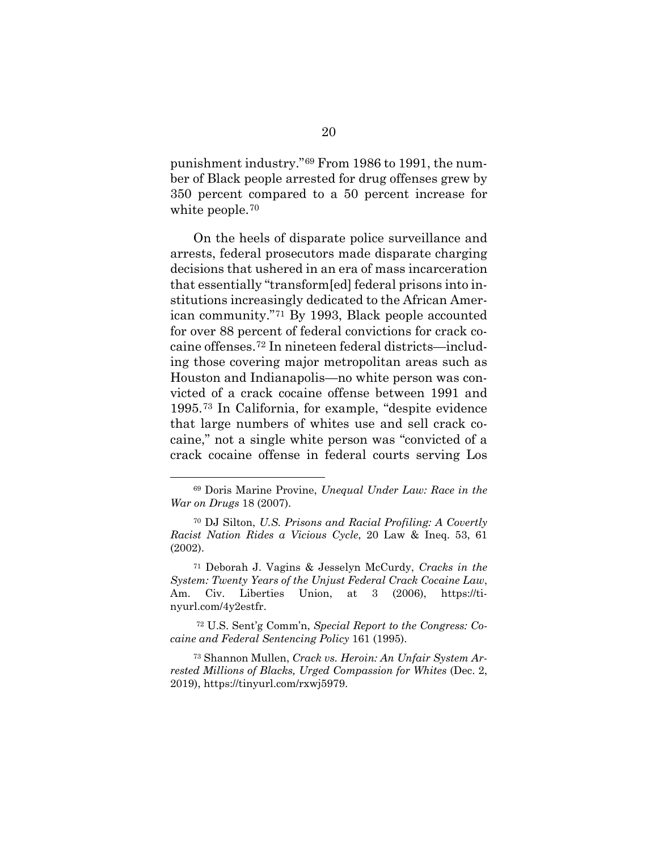punishment industry."[69](#page-34-0) From 1986 to 1991, the number of Black people arrested for drug offenses grew by 350 percent compared to a 50 percent increase for white people.<sup>[70](#page-34-1)</sup>

On the heels of disparate police surveillance and arrests, federal prosecutors made disparate charging decisions that ushered in an era of mass incarceration that essentially "transform[ed] federal prisons into institutions increasingly dedicated to the African American community."[71](#page-34-2) By 1993, Black people accounted for over 88 percent of federal convictions for crack cocaine offenses[.72](#page-34-3) In nineteen federal districts—including those covering major metropolitan areas such as Houston and Indianapolis—no white person was convicted of a crack cocaine offense between 1991 and 1995.[73](#page-34-4) In California, for example, "despite evidence that large numbers of whites use and sell crack cocaine," not a single white person was "convicted of a crack cocaine offense in federal courts serving Los

<span id="page-34-2"></span><sup>71</sup> Deborah J. Vagins & Jesselyn McCurdy, *Cracks in the System: Twenty Years of the Unjust Federal Crack Cocaine Law*, Am. Civ. Liberties Union, at 3 (2006), https://tinyurl.com/4y2estfr.

<span id="page-34-3"></span><sup>72</sup> U.S. Sent'g Comm'n, *Special Report to the Congress: Cocaine and Federal Sentencing Policy* 161 (1995).

<span id="page-34-4"></span><sup>73</sup> Shannon Mullen, *Crack vs. Heroin: An Unfair System Arrested Millions of Blacks, Urged Compassion for Whites* (Dec. 2, 2019), https://tinyurl.com/rxwj5979.

<span id="page-34-0"></span><sup>69</sup> Doris Marine Provine, *Unequal Under Law: Race in the War on Drugs* 18 (2007).

<span id="page-34-1"></span><sup>70</sup> DJ Silton, *U.S. Prisons and Racial Profiling: A Covertly Racist Nation Rides a Vicious Cycle*, 20 Law & Ineq. 53, 61 (2002).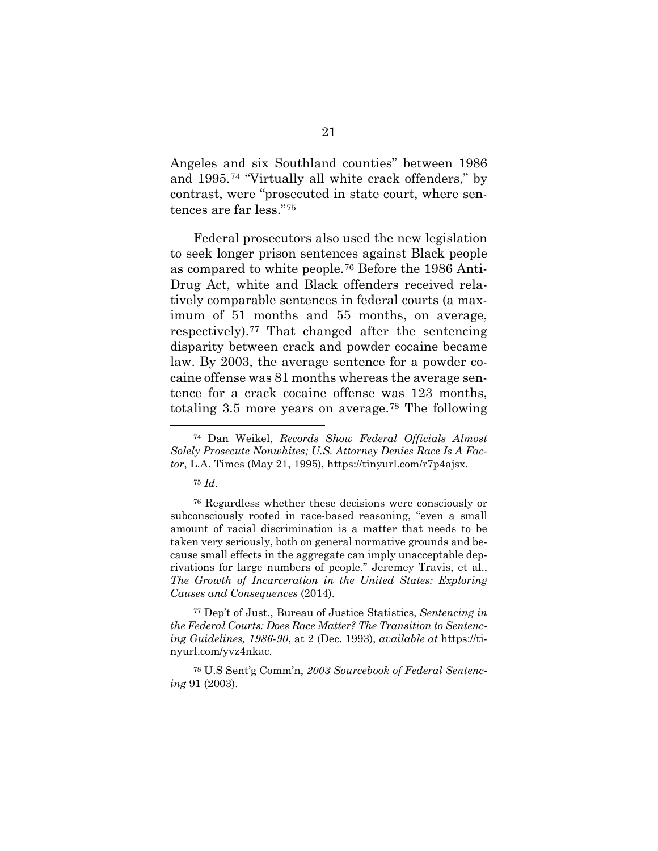Angeles and six Southland counties" between 1986 and 1995.[74](#page-35-0) "Virtually all white crack offenders," by contrast, were "prosecuted in state court, where sentences are far less."[75](#page-35-1)

Federal prosecutors also used the new legislation to seek longer prison sentences against Black people as compared to white people.[76](#page-35-2) Before the 1986 Anti-Drug Act, white and Black offenders received relatively comparable sentences in federal courts (a maximum of 51 months and 55 months, on average, respectively).[77](#page-35-3) That changed after the sentencing disparity between crack and powder cocaine became law. By 2003, the average sentence for a powder cocaine offense was 81 months whereas the average sentence for a crack cocaine offense was 123 months, totaling 3.5 more years on average.[78](#page-35-4) The following

<span id="page-35-0"></span><sup>74</sup> Dan Weikel, *Records Show Federal Officials Almost Solely Prosecute Nonwhites; U.S. Attorney Denies Race Is A Factor*, L.A. Times (May 21, 1995), https://tinyurl.com/r7p4ajsx.

<sup>75</sup> *Id.* 

<span id="page-35-2"></span><span id="page-35-1"></span><sup>76</sup> Regardless whether these decisions were consciously or subconsciously rooted in race-based reasoning, "even a small amount of racial discrimination is a matter that needs to be taken very seriously, both on general normative grounds and because small effects in the aggregate can imply unacceptable deprivations for large numbers of people." Jeremey Travis, et al., *The Growth of Incarceration in the United States: Exploring Causes and Consequences* (2014).

<span id="page-35-3"></span><sup>77</sup> Dep't of Just., Bureau of Justice Statistics, *Sentencing in the Federal Courts: Does Race Matter? The Transition to Sentencing Guidelines, 1986-90*, at 2 (Dec. 1993), *available at* https://tinyurl.com/yvz4nkac.

<span id="page-35-4"></span><sup>78</sup> U.S Sent'g Comm'n, *2003 Sourcebook of Federal Sentencing* 91 (2003).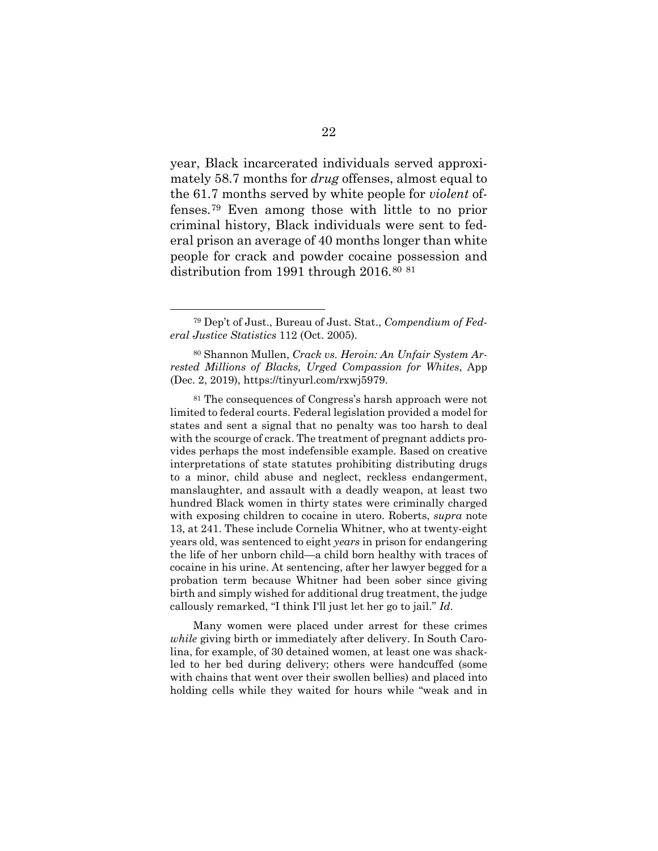year, Black incarcerated individuals served approximately 58.7 months for *drug* offenses, almost equal to the 61.7 months served by white people for *violent* offenses.[79](#page-36-0) Even among those with little to no prior criminal history, Black individuals were sent to federal prison an average of 40 months longer than white people for crack and powder cocaine possession and distribution from 1991 through 2016.<sup>[80](#page-36-1) [81](#page-36-2)</sup>

<span id="page-36-2"></span><sup>81</sup> The consequences of Congress's harsh approach were not limited to federal courts. Federal legislation provided a model for states and sent a signal that no penalty was too harsh to deal with the scourge of crack. The treatment of pregnant addicts provides perhaps the most indefensible example. Based on creative interpretations of state statutes prohibiting distributing drugs to a minor, child abuse and neglect, reckless endangerment, manslaughter, and assault with a deadly weapon, at least two hundred Black women in thirty states were criminally charged with exposing children to cocaine in utero. Roberts, *supra* note 13, at 241. These include Cornelia Whitner, who at twenty-eight years old, was sentenced to eight *years* in prison for endangering the life of her unborn child—a child born healthy with traces of cocaine in his urine. At sentencing, after her lawyer begged for a probation term because Whitner had been sober since giving birth and simply wished for additional drug treatment, the judge callously remarked, "I think I'll just let her go to jail." *Id*.

Many women were placed under arrest for these crimes *while* giving birth or immediately after delivery. In South Carolina, for example, of 30 detained women, at least one was shackled to her bed during delivery; others were handcuffed (some with chains that went over their swollen bellies) and placed into holding cells while they waited for hours while "weak and in

<span id="page-36-0"></span><sup>79</sup> Dep't of Just., Bureau of Just. Stat., *Compendium of Federal Justice Statistics* 112 (Oct. 2005).

<span id="page-36-1"></span><sup>80</sup> Shannon Mullen, *Crack vs. Heroin: An Unfair System Arrested Millions of Blacks, Urged Compassion for Whites*, App (Dec. 2, 2019), https://tinyurl.com/rxwj5979.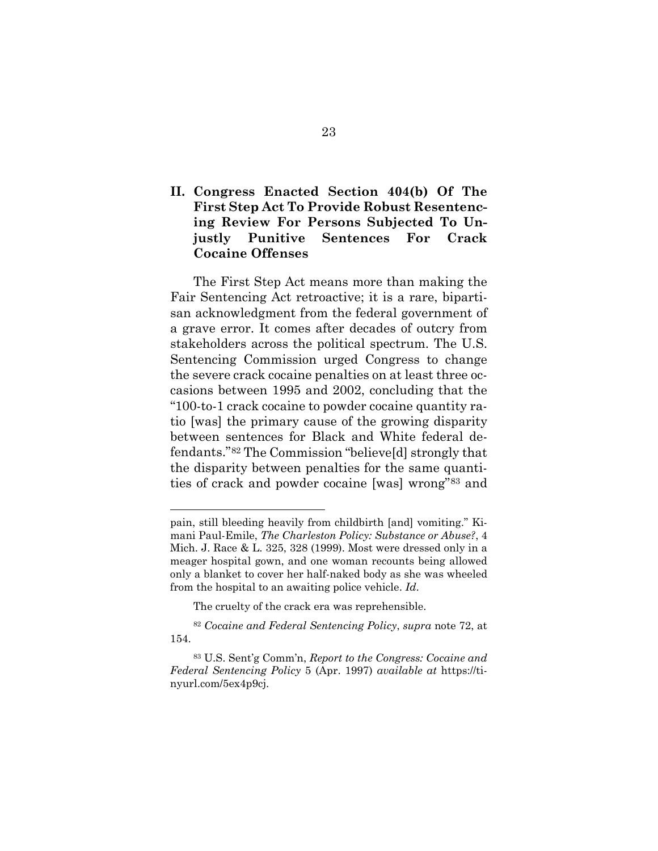# <span id="page-37-0"></span>**II. Congress Enacted Section 404(b) Of The First Step Act To Provide Robust Resentencing Review For Persons Subjected To Unjustly Punitive Sentences For Crack Cocaine Offenses**

The First Step Act means more than making the Fair Sentencing Act retroactive; it is a rare, bipartisan acknowledgment from the federal government of a grave error. It comes after decades of outcry from stakeholders across the political spectrum. The U.S. Sentencing Commission urged Congress to change the severe crack cocaine penalties on at least three occasions between 1995 and 2002, concluding that the "100-to-1 crack cocaine to powder cocaine quantity ratio [was] the primary cause of the growing disparity between sentences for Black and White federal defendants."[82](#page-37-1) The Commission "believe[d] strongly that the disparity between penalties for the same quantities of crack and powder cocaine [was] wrong"[83](#page-37-2) and

pain, still bleeding heavily from childbirth [and] vomiting." Kimani Paul-Emile, *The Charleston Policy: Substance or Abuse?*, 4 Mich. J. Race & L. 325, 328 (1999). Most were dressed only in a meager hospital gown, and one woman recounts being allowed only a blanket to cover her half-naked body as she was wheeled from the hospital to an awaiting police vehicle. *Id*.

The cruelty of the crack era was reprehensible.

<span id="page-37-1"></span><sup>82</sup> *Cocaine and Federal Sentencing Policy*, *supra* note 72, at 154.

<span id="page-37-2"></span><sup>83</sup> U.S. Sent'g Comm'n, *Report to the Congress: Cocaine and Federal Sentencing Policy* 5 (Apr. 1997) *available at* https://tinyurl.com/5ex4p9cj.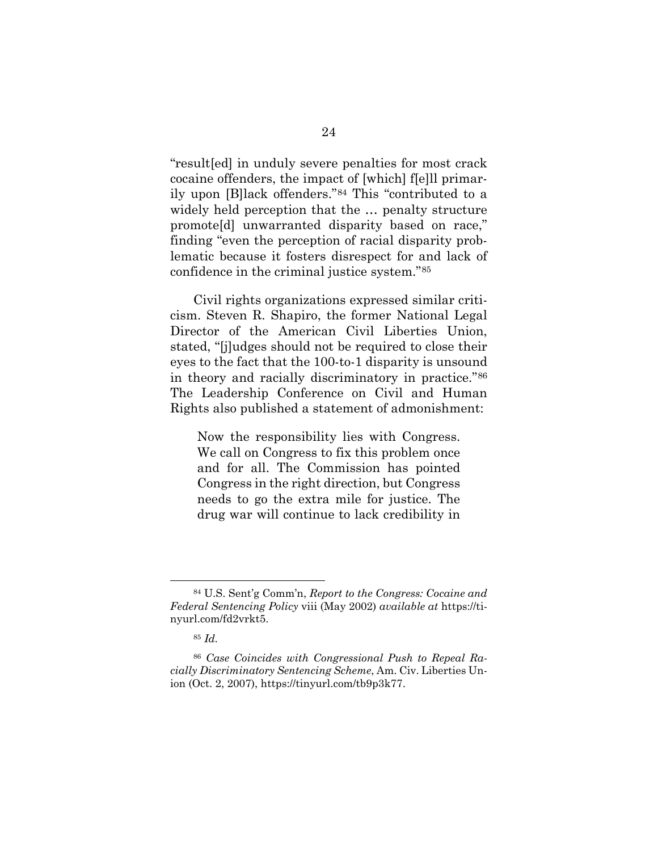"result[ed] in unduly severe penalties for most crack cocaine offenders, the impact of [which] f[e]ll primarily upon [B]lack offenders."[84](#page-38-0) This "contributed to a widely held perception that the … penalty structure promote[d] unwarranted disparity based on race," finding "even the perception of racial disparity problematic because it fosters disrespect for and lack of confidence in the criminal justice system."[85](#page-38-1)

Civil rights organizations expressed similar criticism. Steven R. Shapiro, the former National Legal Director of the American Civil Liberties Union, stated, "[j]udges should not be required to close their eyes to the fact that the 100-to-1 disparity is unsound in theory and racially discriminatory in practice."[86](#page-38-2) The Leadership Conference on Civil and Human Rights also published a statement of admonishment:

Now the responsibility lies with Congress. We call on Congress to fix this problem once and for all. The Commission has pointed Congress in the right direction, but Congress needs to go the extra mile for justice. The drug war will continue to lack credibility in

<span id="page-38-0"></span><sup>84</sup> U.S. Sent'g Comm'n, *Report to the Congress: Cocaine and Federal Sentencing Policy* viii (May 2002) *available at* https://tinyurl.com/fd2vrkt5.

<sup>85</sup> *Id.* 

<span id="page-38-2"></span><span id="page-38-1"></span><sup>86</sup> *Case Coincides with Congressional Push to Repeal Racially Discriminatory Sentencing Scheme*, Am. Civ. Liberties Union (Oct. 2, 2007), https://tinyurl.com/tb9p3k77.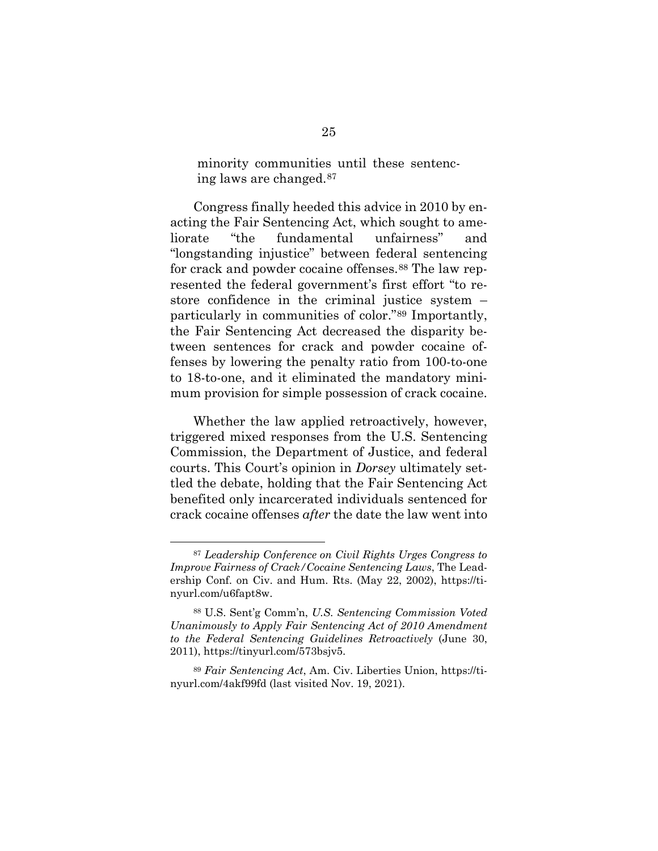minority communities until these sentencing laws are changed.[87](#page-39-0)

Congress finally heeded this advice in 2010 by enacting the Fair Sentencing Act, which sought to ameliorate "the fundamental unfairness" and "longstanding injustice" between federal sentencing for crack and powder cocaine offenses.<sup>[88](#page-39-1)</sup> The law represented the federal government's first effort "to restore confidence in the criminal justice system – particularly in communities of color."[89](#page-39-2) Importantly, the Fair Sentencing Act decreased the disparity between sentences for crack and powder cocaine offenses by lowering the penalty ratio from 100-to-one to 18-to-one, and it eliminated the mandatory minimum provision for simple possession of crack cocaine.

Whether the law applied retroactively, however, triggered mixed responses from the U.S. Sentencing Commission, the Department of Justice, and federal courts. This Court's opinion in *Dorsey* ultimately settled the debate, holding that the Fair Sentencing Act benefited only incarcerated individuals sentenced for crack cocaine offenses *after* the date the law went into

<span id="page-39-0"></span><sup>87</sup> *Leadership Conference on Civil Rights Urges Congress to Improve Fairness of Crack/Cocaine Sentencing Laws*, The Leadership Conf. on Civ. and Hum. Rts. (May 22, 2002), https://tinyurl.com/u6fapt8w.

<span id="page-39-1"></span><sup>88</sup> U.S. Sent'g Comm'n, *U.S. Sentencing Commission Voted Unanimously to Apply Fair Sentencing Act of 2010 Amendment to the Federal Sentencing Guidelines Retroactively* (June 30, 2011), https://tinyurl.com/573bsjv5.

<span id="page-39-2"></span><sup>89</sup> *Fair Sentencing Act*, Am. Civ. Liberties Union, https://tinyurl.com/4akf99fd (last visited Nov. 19, 2021).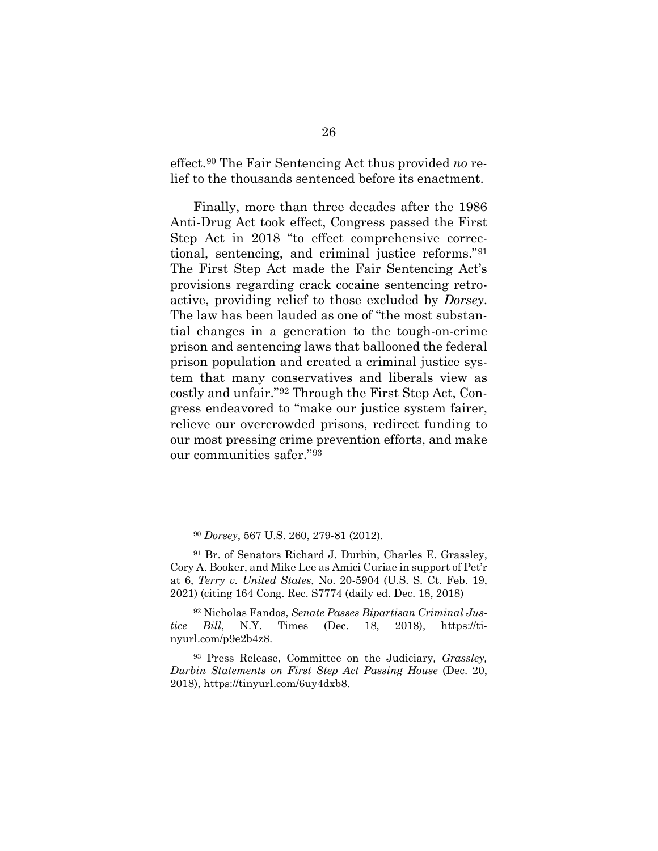effect.[90](#page-40-0) The Fair Sentencing Act thus provided *no* relief to the thousands sentenced before its enactment.

Finally, more than three decades after the 1986 Anti-Drug Act took effect, Congress passed the First Step Act in 2018 "to effect comprehensive correctional, sentencing, and criminal justice reforms."[91](#page-40-1) The First Step Act made the Fair Sentencing Act's provisions regarding crack cocaine sentencing retroactive, providing relief to those excluded by *Dorsey*. The law has been lauded as one of "the most substantial changes in a generation to the tough-on-crime prison and sentencing laws that ballooned the federal prison population and created a criminal justice system that many conservatives and liberals view as costly and unfair."[92](#page-40-2) Through the First Step Act, Congress endeavored to "make our justice system fairer, relieve our overcrowded prisons, redirect funding to our most pressing crime prevention efforts, and make our communities safer."[93](#page-40-3) 

<span id="page-40-2"></span><sup>92</sup> Nicholas Fandos, *Senate Passes Bipartisan Criminal Justice Bill*, N.Y. Times (Dec. 18, 2018), https://tinyurl.com/p9e2b4z8.

<sup>90</sup> *Dorsey*, 567 U.S. 260, 279-81 (2012).

<span id="page-40-1"></span><span id="page-40-0"></span><sup>91</sup> Br. of Senators Richard J. Durbin, Charles E. Grassley, Cory A. Booker, and Mike Lee as Amici Curiae in support of Pet'r at 6, *Terry v. United States*, No. 20-5904 (U.S. S. Ct. Feb. 19, 2021) (citing 164 Cong. Rec. S7774 (daily ed. Dec. 18, 2018)

<span id="page-40-3"></span><sup>93</sup> Press Release, Committee on the Judiciary*, Grassley, Durbin Statements on First Step Act Passing House* (Dec. 20, 2018), https://tinyurl.com/6uy4dxb8.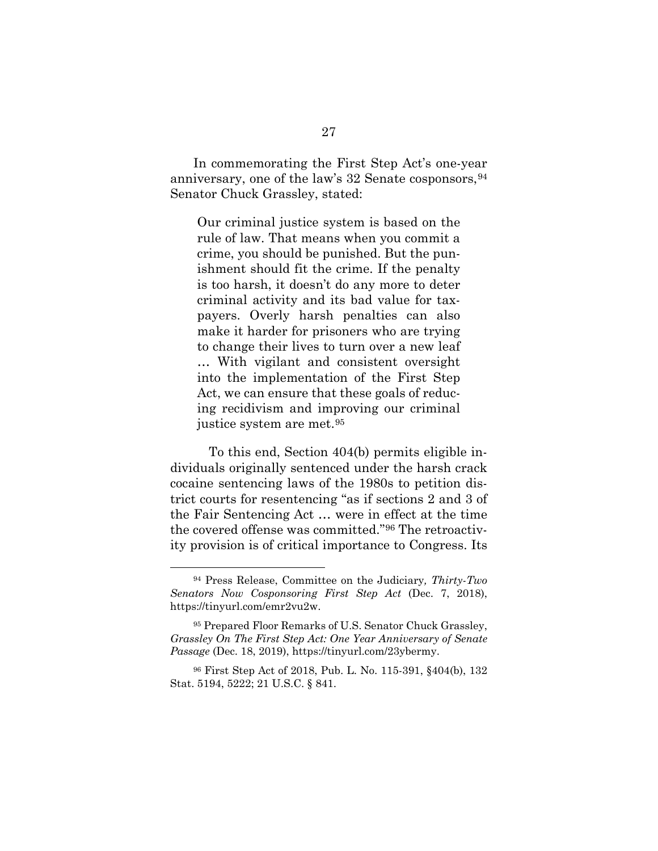In commemorating the First Step Act's one-year anniversary, one of the law's  $32$  Senate cosponsors,  $94$ Senator Chuck Grassley, stated:

Our criminal justice system is based on the rule of law. That means when you commit a crime, you should be punished. But the punishment should fit the crime. If the penalty is too harsh, it doesn't do any more to deter criminal activity and its bad value for taxpayers. Overly harsh penalties can also make it harder for prisoners who are trying to change their lives to turn over a new leaf … With vigilant and consistent oversight into the implementation of the First Step Act, we can ensure that these goals of reducing recidivism and improving our criminal justice system are met.[95](#page-41-1)

To this end, Section 404(b) permits eligible individuals originally sentenced under the harsh crack cocaine sentencing laws of the 1980s to petition district courts for resentencing "as if sections 2 and 3 of the Fair Sentencing Act … were in effect at the time the covered offense was committed."[96](#page-41-2) The retroactivity provision is of critical importance to Congress. Its

<span id="page-41-0"></span><sup>94</sup> Press Release, Committee on the Judiciary*, Thirty-Two Senators Now Cosponsoring First Step Act* (Dec. 7, 2018), https://tinyurl.com/emr2vu2w.

<span id="page-41-1"></span><sup>95</sup> Prepared Floor Remarks of U.S. Senator Chuck Grassley, *Grassley On The First Step Act: One Year Anniversary of Senate Passage* (Dec. 18, 2019), https://tinyurl.com/23ybermy.

<span id="page-41-2"></span><sup>96</sup> First Step Act of 2018, Pub. L. No. 115-391, §404(b), 132 Stat. 5194, 5222; 21 U.S.C. § 841.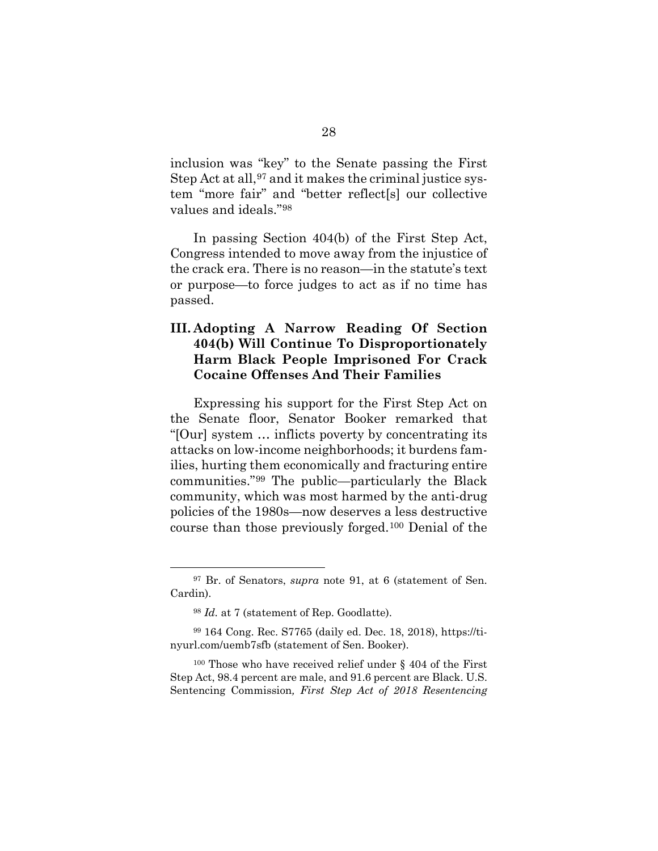inclusion was "key" to the Senate passing the First Step Act at all,  $97$  and it makes the criminal justice system "more fair" and "better reflect[s] our collective values and ideals."[98](#page-42-2) 

In passing Section 404(b) of the First Step Act, Congress intended to move away from the injustice of the crack era. There is no reason—in the statute's text or purpose—to force judges to act as if no time has passed.

# <span id="page-42-0"></span>**III. Adopting A Narrow Reading Of Section 404(b) Will Continue To Disproportionately Harm Black People Imprisoned For Crack Cocaine Offenses And Their Families**

Expressing his support for the First Step Act on the Senate floor, Senator Booker remarked that "[Our] system … inflicts poverty by concentrating its attacks on low-income neighborhoods; it burdens families, hurting them economically and fracturing entire communities."[99](#page-42-3) The public—particularly the Black community, which was most harmed by the anti-drug policies of the 1980s—now deserves a less destructive course than those previously forged.[100](#page-42-4) Denial of the

<span id="page-42-1"></span><sup>97</sup> Br. of Senators, *supra* note 91, at 6 (statement of Sen. Cardin).

<sup>98</sup> *Id.* at 7 (statement of Rep. Goodlatte).

<span id="page-42-3"></span><span id="page-42-2"></span><sup>99</sup> 164 Cong. Rec. S7765 (daily ed. Dec. 18, 2018), https://tinyurl.com/uemb7sfb (statement of Sen. Booker).

<span id="page-42-4"></span><sup>100</sup> Those who have received relief under § 404 of the First Step Act, 98.4 percent are male, and 91.6 percent are Black. U.S. Sentencing Commission*, First Step Act of 2018 Resentencing*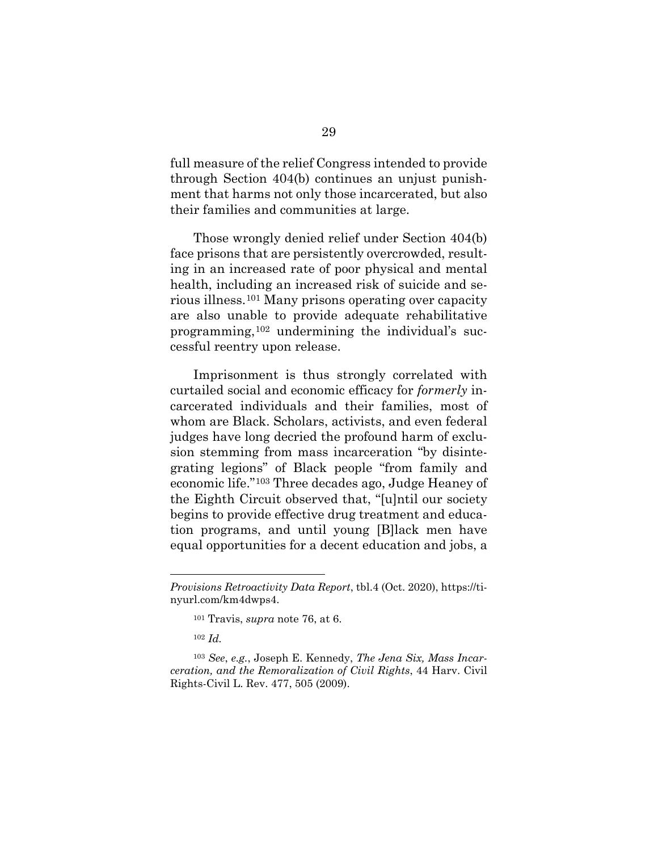full measure of the relief Congress intended to provide through Section 404(b) continues an unjust punishment that harms not only those incarcerated, but also their families and communities at large.

Those wrongly denied relief under Section 404(b) face prisons that are persistently overcrowded, resulting in an increased rate of poor physical and mental health, including an increased risk of suicide and serious illness.[101](#page-43-0) Many prisons operating over capacity are also unable to provide adequate rehabilitative programming,[102](#page-43-1) undermining the individual's successful reentry upon release.

Imprisonment is thus strongly correlated with curtailed social and economic efficacy for *formerly* incarcerated individuals and their families, most of whom are Black. Scholars, activists, and even federal judges have long decried the profound harm of exclusion stemming from mass incarceration "by disintegrating legions" of Black people "from family and economic life."[103](#page-43-2) Three decades ago, Judge Heaney of the Eighth Circuit observed that, "[u]ntil our society begins to provide effective drug treatment and education programs, and until young [B]lack men have equal opportunities for a decent education and jobs, a

<span id="page-43-0"></span>*Provisions Retroactivity Data Report*, tbl.4 (Oct. 2020), https://tinyurl.com/km4dwps4.

<sup>101</sup> Travis, *supra* note 76, at 6.

<sup>102</sup> *Id.*

<span id="page-43-2"></span><span id="page-43-1"></span><sup>103</sup> *See*, *e.g.*, Joseph E. Kennedy, *The Jena Six, Mass Incarceration, and the Remoralization of Civil Rights*, 44 Harv. Civil Rights-Civil L. Rev. 477, 505 (2009).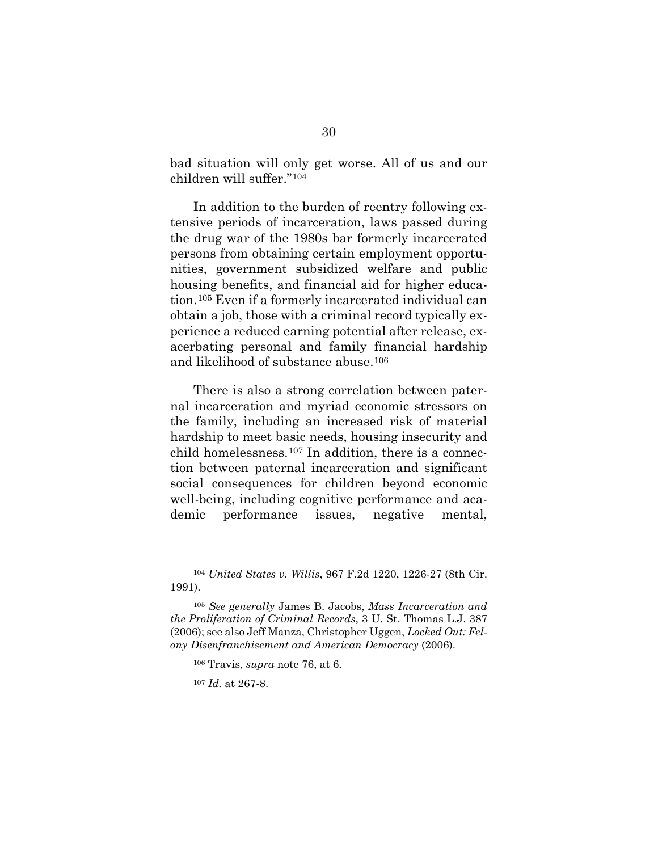bad situation will only get worse. All of us and our children will suffer."[104](#page-44-0) 

In addition to the burden of reentry following extensive periods of incarceration, laws passed during the drug war of the 1980s bar formerly incarcerated persons from obtaining certain employment opportunities, government subsidized welfare and public housing benefits, and financial aid for higher education.[105](#page-44-1) Even if a formerly incarcerated individual can obtain a job, those with a criminal record typically experience a reduced earning potential after release, exacerbating personal and family financial hardship and likelihood of substance abuse.[106](#page-44-2)

There is also a strong correlation between paternal incarceration and myriad economic stressors on the family, including an increased risk of material hardship to meet basic needs, housing insecurity and child homelessness.[107](#page-44-3) In addition, there is a connection between paternal incarceration and significant social consequences for children beyond economic well-being, including cognitive performance and academic performance issues, negative mental,

<span id="page-44-0"></span><sup>104</sup> *United States v. Willis*, 967 F.2d 1220, 1226-27 (8th Cir. 1991).

<span id="page-44-3"></span><span id="page-44-2"></span><span id="page-44-1"></span><sup>105</sup> *See generally* James B. Jacobs, *Mass Incarceration and the Proliferation of Criminal Records*, 3 U. St. Thomas L.J. 387 (2006); see also Jeff Manza, Christopher Uggen, *Locked Out: Felony Disenfranchisement and American Democracy* (2006).

<sup>106</sup> Travis, *supra* note 76, at 6.

<sup>107</sup> *Id.* at 267-8.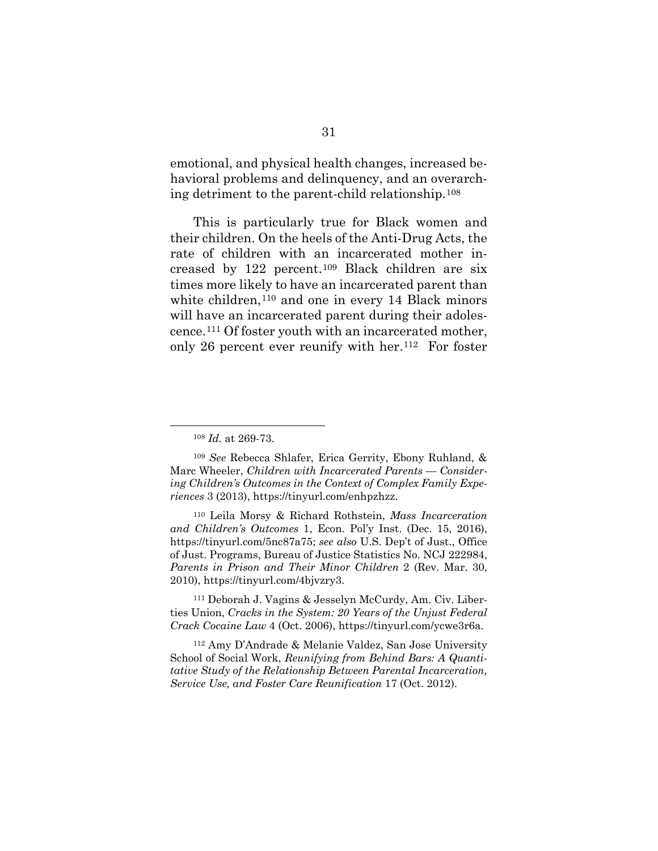emotional, and physical health changes, increased behavioral problems and delinquency, and an overarching detriment to the parent-child relationship.[108](#page-45-0)

This is particularly true for Black women and their children. On the heels of the Anti-Drug Acts, the rate of children with an incarcerated mother increased by 122 percent.[109](#page-45-1) Black children are six times more likely to have an incarcerated parent than white children,<sup>[110](#page-45-2)</sup> and one in every 14 Black minors will have an incarcerated parent during their adolescence.[111](#page-45-3) Of foster youth with an incarcerated mother, only 26 percent ever reunify with her.[112](#page-45-4) For foster

<span id="page-45-3"></span><sup>111</sup> Deborah J. Vagins & Jesselyn McCurdy, Am. Civ. Liberties Union, *Cracks in the System: 20 Years of the Unjust Federal Crack Cocaine Law* 4 (Oct. 2006), https://tinyurl.com/ycwe3r6a.

<span id="page-45-4"></span><sup>112</sup> Amy D'Andrade & Melanie Valdez, San Jose University School of Social Work, *Reunifying from Behind Bars: A Quantitative Study of the Relationship Between Parental Incarceration, Service Use, and Foster Care Reunification* 17 (Oct. 2012).

<sup>108</sup> *Id.* at 269-73.

<span id="page-45-1"></span><span id="page-45-0"></span><sup>109</sup> *See* Rebecca Shlafer, Erica Gerrity, Ebony Ruhland, & Marc Wheeler, *Children with Incarcerated Parents* — *Considering Children's Outcomes in the Context of Complex Family Experiences* 3 (2013), https://tinyurl.com/enhpzhzz.

<span id="page-45-2"></span><sup>110</sup> Leila Morsy & Richard Rothstein, *Mass Incarceration and Children's Outcomes* 1, Econ. Pol'y Inst. (Dec. 15, 2016), https://tinyurl.com/5nc87a75; *see also* U.S. Dep't of Just., Office of Just. Programs, Bureau of Justice Statistics No. NCJ 222984, *Parents in Prison and Their Minor Children* 2 (Rev. Mar. 30, 2010), https://tinyurl.com/4bjvzry3.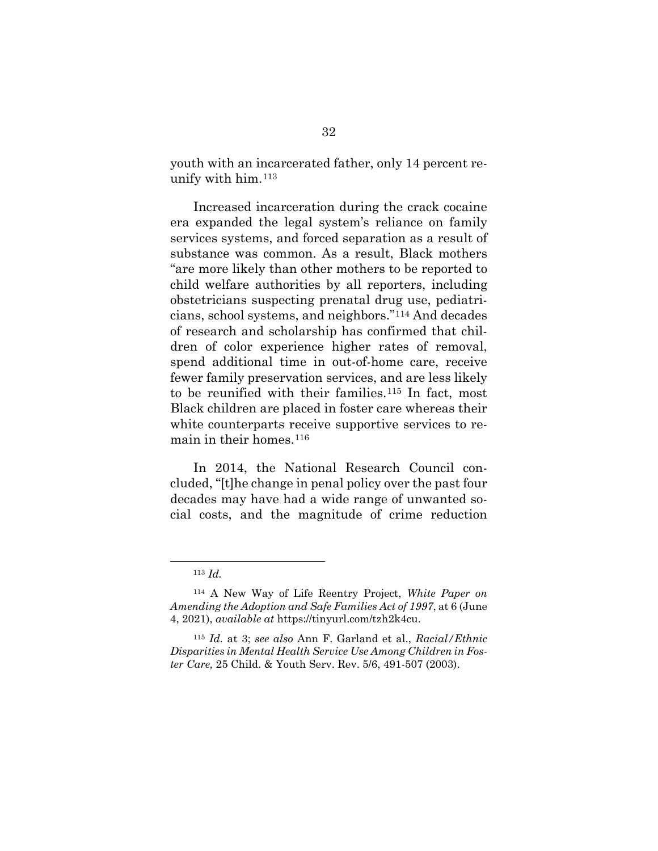youth with an incarcerated father, only 14 percent reunify with him.[113](#page-46-0)

Increased incarceration during the crack cocaine era expanded the legal system's reliance on family services systems, and forced separation as a result of substance was common. As a result, Black mothers "are more likely than other mothers to be reported to child welfare authorities by all reporters, including obstetricians suspecting prenatal drug use, pediatricians, school systems, and neighbors."[114](#page-46-1) And decades of research and scholarship has confirmed that children of color experience higher rates of removal, spend additional time in out-of-home care, receive fewer family preservation services, and are less likely to be reunified with their families.[115](#page-46-2) In fact, most Black children are placed in foster care whereas their white counterparts receive supportive services to re-main in their homes.<sup>[116](#page-46-3)</sup>

In 2014, the National Research Council concluded, "[t]he change in penal policy over the past four decades may have had a wide range of unwanted social costs, and the magnitude of crime reduction

<sup>113</sup> *Id.*

<span id="page-46-1"></span><span id="page-46-0"></span><sup>114</sup> A New Way of Life Reentry Project, *White Paper on Amending the Adoption and Safe Families Act of 1997*, at 6 (June 4, 2021), *available at* https://tinyurl.com/tzh2k4cu.

<span id="page-46-3"></span><span id="page-46-2"></span><sup>115</sup> *Id.* at 3; *see also* Ann F. Garland et al., *Racial/Ethnic Disparities in Mental Health Service Use Among Children in Foster Care,* 25 Child. & Youth Serv. Rev. 5/6, 491-507 (2003).